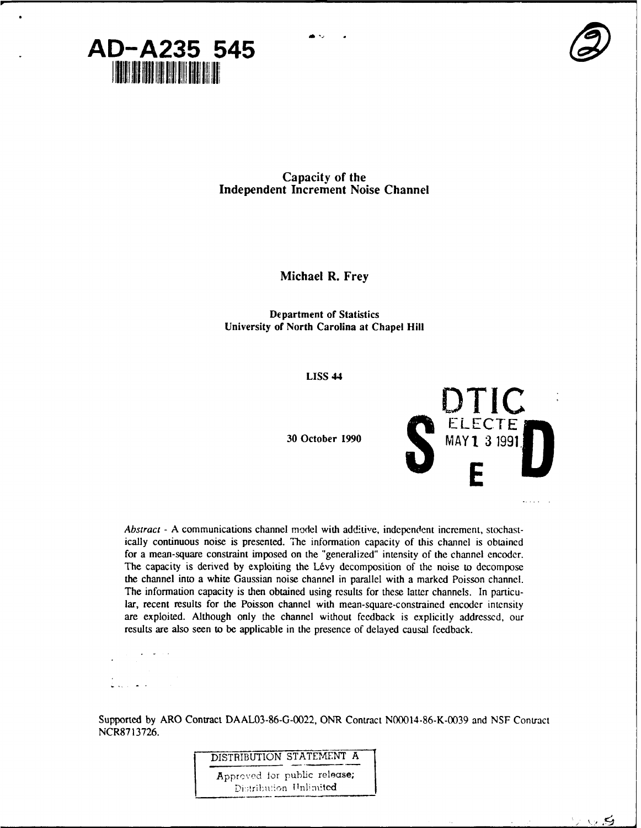



一〇 石

**Capacity of the Independent Increment** Noise **Channel**

**Michael R. Frey**

**Department of Statistics University of North Carolina at Chapel Hill**

**LISS 44**



Abstract **- A communications channel** model with additive, independent increment, stochastically continuous noise is presented. The information capacity of this channel is obtained for a mean-square constraint imposed on the "generalized" intensity of the channel encoder. The capacity is derived by exploiting the Lévy decomposition of the noise to decompose the channel into a white Gaussian noise channel in parallel with a marked Poisson channel. The information capacity is then obtained using results for these latter channels. In particular, recent results for the Poisson channel with mean-square-constrained encoder intensity are exploited. Although only the channel without feedback is explicitly addressed, our results are also seen to be applicable in the presence of delayed causal feedback.

Supported by ARO Contract DAAL03-86-G-0022, ONR Contract N00014-86-K-0039 and **NSF** Contract NCR87 13726.

DISTRIBUTION STATEMENT A

Apprcved for public release; Distribution Unlimited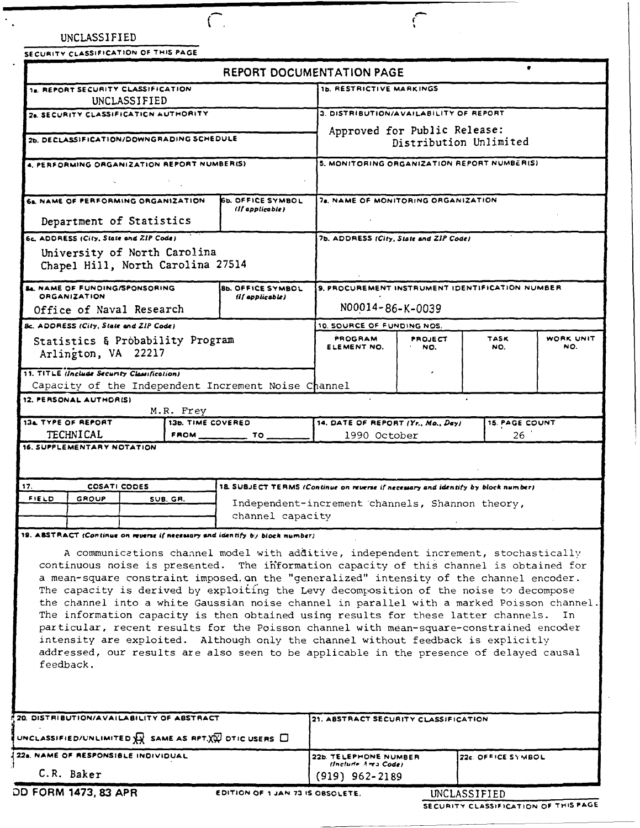| UNCLASSIFIED |  |
|--------------|--|
|--------------|--|

 $\mathcal{F}_{\mathbf{A}^{\prime}}$ 

**SECURITY CLASSIFICATION OF THIS PAGE**

 $\overline{\bigcap}$ 

|                                                                                    |                                                              |  |                                | REPORT DOCUMENTATION PAGE                                                                                                                                                                                                                                                                                                                                                                                                                                                                                                                                                                                                                                                                                                                                                                                                           |                                                 |         |                          |     |  |
|------------------------------------------------------------------------------------|--------------------------------------------------------------|--|--------------------------------|-------------------------------------------------------------------------------------------------------------------------------------------------------------------------------------------------------------------------------------------------------------------------------------------------------------------------------------------------------------------------------------------------------------------------------------------------------------------------------------------------------------------------------------------------------------------------------------------------------------------------------------------------------------------------------------------------------------------------------------------------------------------------------------------------------------------------------------|-------------------------------------------------|---------|--------------------------|-----|--|
| 18. REPORT SECURITY CLASSIFICATION<br>UNCLASSIFIED                                 |                                                              |  |                                |                                                                                                                                                                                                                                                                                                                                                                                                                                                                                                                                                                                                                                                                                                                                                                                                                                     | <b>1b. RESTRICTIVE MARKINGS</b>                 |         |                          |     |  |
| 28. SECURITY CLASSIFICATION AUTHORITY                                              |                                                              |  |                                | 3. DISTRIBUTION/AVAILABILITY OF REPORT                                                                                                                                                                                                                                                                                                                                                                                                                                                                                                                                                                                                                                                                                                                                                                                              |                                                 |         |                          |     |  |
|                                                                                    |                                                              |  |                                | Approved for Public Release:                                                                                                                                                                                                                                                                                                                                                                                                                                                                                                                                                                                                                                                                                                                                                                                                        |                                                 |         |                          |     |  |
| 2b. DECLASSIFICATION/DOWNGRADING SCHEDULE                                          |                                                              |  |                                | Distribution Unlimited                                                                                                                                                                                                                                                                                                                                                                                                                                                                                                                                                                                                                                                                                                                                                                                                              |                                                 |         |                          |     |  |
| 4. PERFORMING ORGANIZATION REPORT NUMBERIS)                                        |                                                              |  |                                | 5, MONITORING ORGANIZATION REPORT NUMBER(S)                                                                                                                                                                                                                                                                                                                                                                                                                                                                                                                                                                                                                                                                                                                                                                                         |                                                 |         |                          |     |  |
|                                                                                    |                                                              |  |                                |                                                                                                                                                                                                                                                                                                                                                                                                                                                                                                                                                                                                                                                                                                                                                                                                                                     |                                                 |         |                          |     |  |
| 6a. NAME OF PERFORMING ORGANIZATION<br><b>65. OFFICE SYMBOL</b><br>(If applicable) |                                                              |  |                                |                                                                                                                                                                                                                                                                                                                                                                                                                                                                                                                                                                                                                                                                                                                                                                                                                                     | 78. NAME OF MONITORING ORGANIZATION             |         |                          |     |  |
| Department of Statistics                                                           |                                                              |  |                                |                                                                                                                                                                                                                                                                                                                                                                                                                                                                                                                                                                                                                                                                                                                                                                                                                                     |                                                 |         |                          |     |  |
|                                                                                    | 6c. ADDRESS (City, State and ZIP Code)                       |  |                                |                                                                                                                                                                                                                                                                                                                                                                                                                                                                                                                                                                                                                                                                                                                                                                                                                                     | 7b. ADDRESS (City, State and ZIP Code)          |         |                          |     |  |
|                                                                                    | University of North Carolina                                 |  |                                |                                                                                                                                                                                                                                                                                                                                                                                                                                                                                                                                                                                                                                                                                                                                                                                                                                     |                                                 |         |                          |     |  |
|                                                                                    | Chapel Hill, North Carolina 27514                            |  |                                |                                                                                                                                                                                                                                                                                                                                                                                                                                                                                                                                                                                                                                                                                                                                                                                                                                     |                                                 |         |                          |     |  |
|                                                                                    | <b>84. NAME OF FUNDING/SPONSORING</b><br><b>ORGANIZATION</b> |  |                                | <b>8b. OFFICE SYMBOL</b>                                                                                                                                                                                                                                                                                                                                                                                                                                                                                                                                                                                                                                                                                                                                                                                                            | 9. PROCUREMENT INSTRUMENT IDENTIFICATION NUMBER |         |                          |     |  |
|                                                                                    | Office of Naval Research                                     |  |                                | (If applicable)                                                                                                                                                                                                                                                                                                                                                                                                                                                                                                                                                                                                                                                                                                                                                                                                                     | N00014-86-K-0039                                |         |                          |     |  |
|                                                                                    | <b>Bc. ADDRESS (City, State and ZIP Code)</b>                |  |                                |                                                                                                                                                                                                                                                                                                                                                                                                                                                                                                                                                                                                                                                                                                                                                                                                                                     | 10. SOURCE OF FUNDING NOS.                      |         |                          |     |  |
|                                                                                    | Statistics & Probability Program                             |  |                                |                                                                                                                                                                                                                                                                                                                                                                                                                                                                                                                                                                                                                                                                                                                                                                                                                                     | PROGRAM<br>ELEMENT NO.                          | PROJECT | <b>TASK</b><br>WORK UNIT |     |  |
|                                                                                    | Arlington, VA 22217                                          |  |                                |                                                                                                                                                                                                                                                                                                                                                                                                                                                                                                                                                                                                                                                                                                                                                                                                                                     |                                                 | NO.     | NO.                      | NO. |  |
|                                                                                    | 11. TITLE (Include Security Classification)                  |  |                                |                                                                                                                                                                                                                                                                                                                                                                                                                                                                                                                                                                                                                                                                                                                                                                                                                                     |                                                 |         |                          |     |  |
|                                                                                    |                                                              |  |                                | Capacity of the Independent Increment Noise Channel                                                                                                                                                                                                                                                                                                                                                                                                                                                                                                                                                                                                                                                                                                                                                                                 |                                                 |         |                          |     |  |
|                                                                                    | 12. PERSONAL AUTHORISI                                       |  |                                |                                                                                                                                                                                                                                                                                                                                                                                                                                                                                                                                                                                                                                                                                                                                                                                                                                     |                                                 |         |                          |     |  |
|                                                                                    |                                                              |  |                                |                                                                                                                                                                                                                                                                                                                                                                                                                                                                                                                                                                                                                                                                                                                                                                                                                                     |                                                 |         |                          |     |  |
|                                                                                    | <b>134 TYPE OF REPORT</b>                                    |  | M.R. Frey<br>13b. TIME COVERED |                                                                                                                                                                                                                                                                                                                                                                                                                                                                                                                                                                                                                                                                                                                                                                                                                                     | 14. DATE OF REPORT (Yr., Mo., Day)              |         | <b>15. PAGE COUNT</b>    |     |  |
|                                                                                    | <b>TECHNICAL</b><br>16. SUPPLEMENTARY NOTATION               |  | $FROM$ <sub>--</sub>           | TO.                                                                                                                                                                                                                                                                                                                                                                                                                                                                                                                                                                                                                                                                                                                                                                                                                                 | 1990 October                                    |         | 26.                      |     |  |
| FIELD                                                                              | <b>COSATI CODES</b><br><b>GROUP</b>                          |  | SUB. GR.                       | 18. SUBJECT TERMS (Continue on reverse if necessary and identify by block number)                                                                                                                                                                                                                                                                                                                                                                                                                                                                                                                                                                                                                                                                                                                                                   |                                                 |         |                          |     |  |
|                                                                                    |                                                              |  |                                | channel capacity                                                                                                                                                                                                                                                                                                                                                                                                                                                                                                                                                                                                                                                                                                                                                                                                                    | Independent-increment channels, Shannon theory, |         |                          |     |  |
|                                                                                    |                                                              |  |                                | 19. ABSTRACT (Continue on reverse if necessary and identify by block number)                                                                                                                                                                                                                                                                                                                                                                                                                                                                                                                                                                                                                                                                                                                                                        |                                                 |         |                          |     |  |
| 17.                                                                                | feedback.                                                    |  |                                | A communications channel model with additive, independent increment, stochastically<br>continuous noise is presented. The information capacity of this channel is obtained for<br>a mean-square constraint imposed. on the "generalized" intensity of the channel encoder.<br>The capacity is derived by exploiting the Levy decomposition of the noise to decompose<br>the channel into a white Gaussian noise channel in parallel with a marked Poisson channel.<br>The information capacity is then obtained using results for these latter channels.<br>particular, recent results for the Poisson channel with mean-square-constrained encoder<br>intensity are exploited. Although only the channel without feedback is explicitly<br>addressed, our results are also seen to be applicable in the presence of delayed causal |                                                 |         |                          | In  |  |
|                                                                                    |                                                              |  |                                |                                                                                                                                                                                                                                                                                                                                                                                                                                                                                                                                                                                                                                                                                                                                                                                                                                     |                                                 |         |                          |     |  |
|                                                                                    | 20. DISTRIBUTION/AVAILABILITY OF ABSTRACT                    |  |                                |                                                                                                                                                                                                                                                                                                                                                                                                                                                                                                                                                                                                                                                                                                                                                                                                                                     | 21. ABSTRACT SECURITY CLASSIFICATION            |         |                          |     |  |
|                                                                                    |                                                              |  |                                | UNCLASSIFIED/UNLIMITED $\overline{M}$ SAME AS RPT. $\overline{X}$ OTIC USERS $\Box$                                                                                                                                                                                                                                                                                                                                                                                                                                                                                                                                                                                                                                                                                                                                                 |                                                 |         |                          |     |  |
|                                                                                    | 22a. NAME OF RESPONSIBLE INDIVIDUAL                          |  |                                |                                                                                                                                                                                                                                                                                                                                                                                                                                                                                                                                                                                                                                                                                                                                                                                                                                     | 22b. TELEPHONE NUMBER<br>(Include Area Code)    |         | 22c. OFFICE SYMBOL       |     |  |

 $\subset$ 

**SECURITY CLASSIFICATION OF THIS PAGE**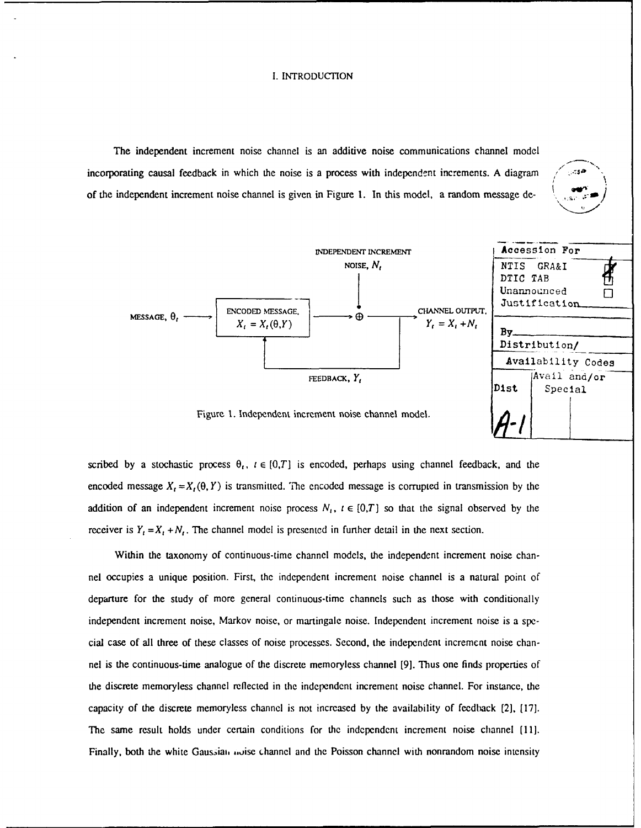# I. INTRODUCTION

The independent increment noise channel is an additive noise communications channel model incorporating causal feedback in which the noise is a process with independent increments. A diagram of the independent increment noise channel is given in Figure 1. In this model, a random message de-



scribed by a stochastic process  $\theta_t$ ,  $t \in [0,T]$  is encoded, perhaps using channel feedback, and the encoded message  $X_t = X_t(\theta, Y)$  is transmitted. The encoded message is corrupted in transmission by the addition of an independent increment noise process  $N_i$ ,  $i \in [0,T]$  so that the signal observed by the receiver is  $Y_t = X_t + N_t$ . The channel model is presented in further detail in the next section.

Within the taxonomy of continuous-time channel models, the independent increment noise channel occupies a unique position. First, the independent increment noise channel is a natural point of departure for the study of more general continuous-time channels such as those with conditionally independent increment noise, Markov noise, or martingale noise. Independent increment noise is a special case of all three of these classes of noise processes. Second, the independent increment noise channel is the continuous-time analogue of the discrete memoryless channel [9]. Thus one finds properties of the discrete memoryless channel reflected in the independent increment noise channel. For instance, the capacity of the discrete memoryless channel is not increased by the availability of feedback [2], [17]. The same result holds under certain conditions for the independent increment noise channel [11]. Finally, both the white Gaussian moise channel and the Poisson channel with nonrandom noise intensity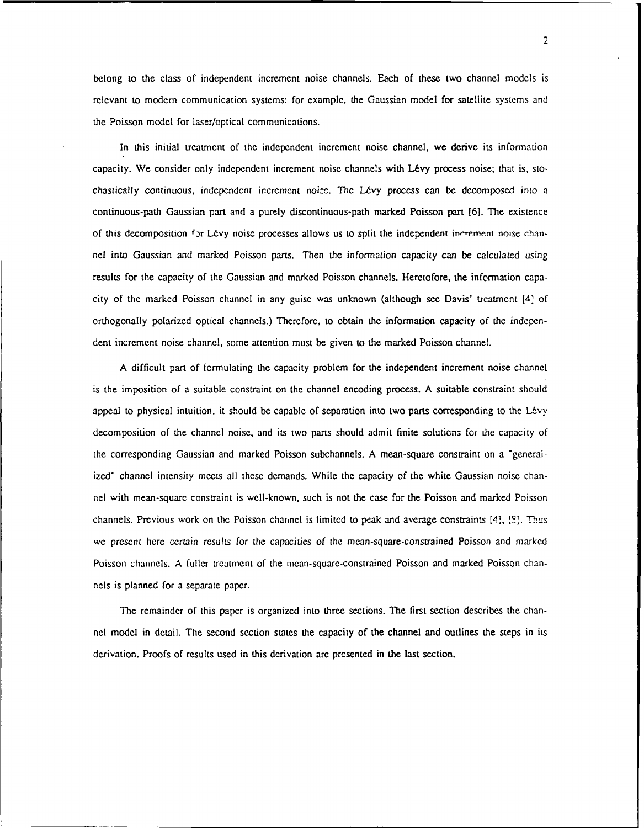belong to the class of independent increment noise channels. Each of these two channel models is relevant to modem communication systems: for example, the Gaussian model for satellite systems and the Poisson model for laser/optical communications.

In this initial treatment of the independent increment noise channel, we derive its information capacity. We consider only independent increment noise channels with Lévy process noise; that is, stochastically continuous, independent increment noife. The LEvy process can be decomposed into a continuous-path Gaussian part and a purely discontinuous-path marked Poisson part [6]. The existence of this decomposition for Lévy noise processes allows us to split the independent increment noise channel into Gaussian and marked Poisson parts. Then the information capacity can be calculated using results for the capacity of the Gaussian and marked Poisson channels. Heretofore, the information capacity of the marked Poisson channel in any guise was unknown (although see Davis' treatment [4] of orthogonally polarized optical channels.) Therefore, to obtain the information capacity of the independent increment noise channel, some attention must be given to the marked Poisson channel.

A difficult part of formulating the capacity problem for the independent increment noise channel is the imposition of a suitable constraint on the channel encoding process. A suitable constraint should appeal to physical intuition, it should be capable of separation into two parts corresponding to the Lévy decomposition of the channel noise, and its two parts should admit finite solutions for the capacity of the corresponding Gaussian and marked Poisson subchannels. A mean-square constraint on a "generalized" channel intensity meets all these demands. While the capacity of the white Gaussian noise channel with mean-square constraint is well-known, such is not the case for the Poisson and marked Poisson channels. Previous work on the Poisson channel is limited to peak and average constraints [4], [8]. Thus we present here certain results for the capacities of the mean-square-constrained Poisson and marked Poisson channels. A fuller treatment of the mean-square-constrained Poisson and marked Poisson channels is planned for a separate paper.

The remainder of this paper is organized into three sections. The first section describes the channel model in detail. The second section states the capacity of the channel and outlines the steps in its derivation. Proofs of results used in this derivation are presented in the last section.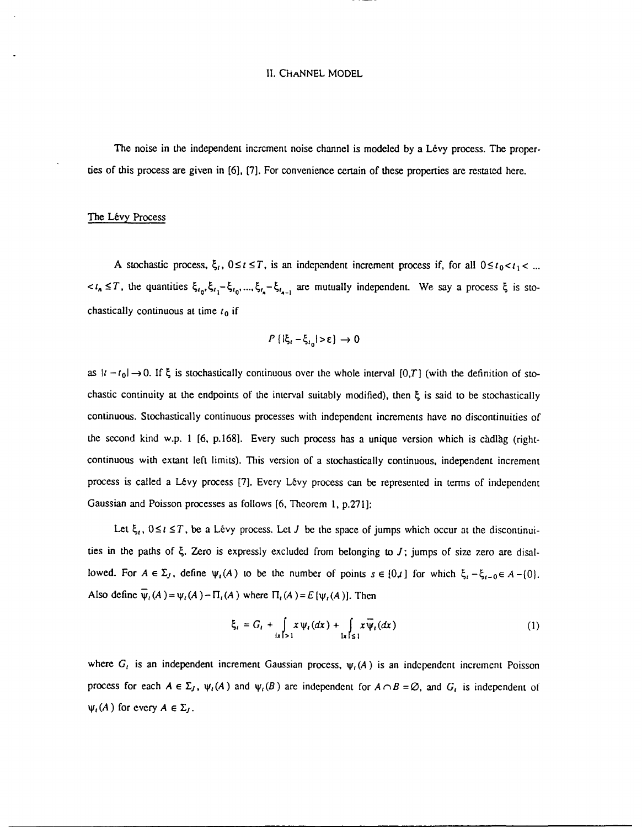#### **11.** CHANNEL MODEL

The noise in the independent increment noise channel is modeled by a Lévy process. The properties of this process are given in [6], [7]. For convenience certain of these properties are restated here.

## The Lévy Process

A stochastic process,  $\xi_i$ ,  $0 \le t \le T$ , is an independent increment process if, for all  $0 \le t_0 < t_1 < ...$ *, the quantities*  $\xi_{i_0}, \xi_{i_1} - \xi_{i_0}, ..., \xi_{i_n} - \xi_{i_{n-1}}$  *are mutually independent. We say a process*  $\xi$  *is sto*chastically continuous at time  $t_0$  if

$$
P\left\{|\xi_i - \xi_{i_0}| > \varepsilon\right\} \to 0
$$

as  $|t - t_0| \rightarrow 0$ . If  $\xi$  is stochastically continuous over the whole interval [0,T] (with the definition of stochastic continuity at the endpoints of the interval suitably modified), then  $\xi$  is said to be stochastically continuous. Stochastically continuous processes with independent increments have no discontinuities of the second kind w.p. 1 [6, p.168]. Every such process has a unique version which is càdlàg (rightcontinuous with extant left limits). This version of a stochastically continuous, independent increment process is called a Lévy process [7]. Every Lévy process can be represented in terms of independent Gaussian and Poisson processes as follows [6, Theorem 1, p.271]:

Let  $\xi_i$ ,  $0 \le i \le T$ , be a Lévy process. Let *J* be the space of jumps which occur at the discontinuities in the paths of  $\xi$ . Zero is expressly excluded from belonging to *J*; jumps of size zero are disallowed. For  $A \in \Sigma_J$ , define  $\psi_t(A)$  to be the number of points  $s \in \{0,1\}$  for which  $\xi_t - \xi_{t-0} \in A - \{0\}$ . Also define  $\overline{\psi}_t(A) = \psi_t(A) - \Pi_t(A)$  where  $\Pi_t(A) = E[\psi_t(A)]$ . Then

$$
\xi_t = G_t + \int\limits_{|x|>1} x \psi_t(dx) + \int\limits_{|x| \leq 1} x \overline{\psi}_t(dx)
$$
 (1)

where  $G_t$  is an independent increment Gaussian process,  $\psi_t(A)$  is an independent increment Poisson process for each  $A \in \Sigma_J$ ,  $\psi_i(A)$  and  $\psi_i(B)$  are independent for  $A \cap B = \emptyset$ , and  $G_i$  is independent of  $\psi_i(A)$  for every  $A \in \Sigma_j$ .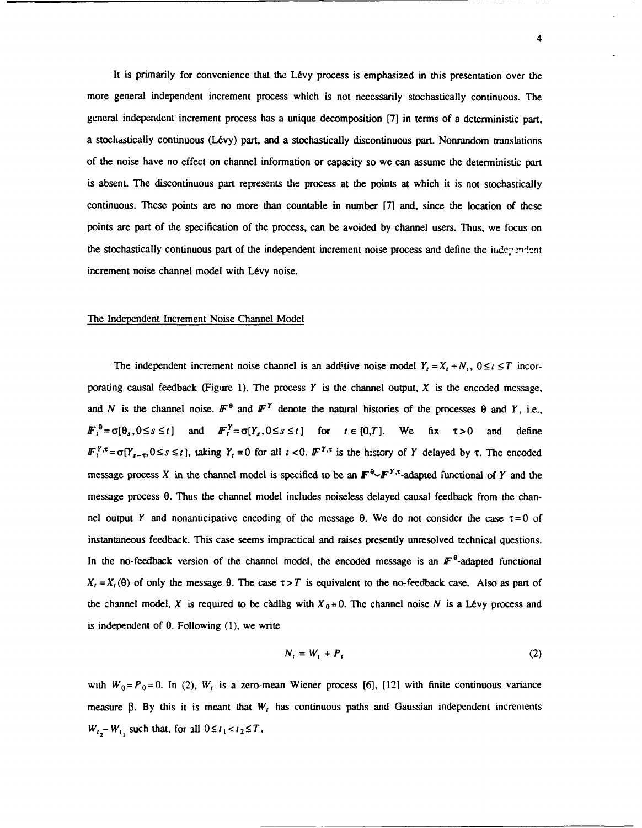It is primarily for convenience that the Lévy process is emphasized in this presentation over the more general independent increment process which is not necessarily stochastically continuous. The general independent increment process has a unique decomposition [7] in terms of a deterministic part, a stoclidstically continuous (L6vy) part, and a stochastically discontinuous part. Nonrandom translations of the noise have no effect on channel information or capacity so we can assume the deterministic part is absent. The discontinuous part represents the process at the points at which it is not stochastically continuous. These points are no more than countable in number [7] and, since the location of these points are part of the specification of the process, can be avoided by channel users. Thus, we focus on the stochastically continuous part of the independent increment noise process and define the independent increment noise channel model with Lévy noise.

# The Independent Increment Noise Channel Model

The independent increment noise channel is an additive noise model  $Y_t = X_t + N_t$ ,  $0 \le t \le T$  incorporating causal feedback (Figure 1). The process *Y* is the channel output, X is the encoded message, and *N* is the channel noise.  $\mathbf{F}^{\theta}$  and  $\mathbf{F}^{Y}$  denote the natural histories of the processes  $\theta$  and *Y*, i.e.,  $F_t^{\theta} = \sigma[\theta_s, 0 \le s \le t]$  and  $F_t^{\gamma} = \sigma[Y_s, 0 \le s \le t]$  for  $t \in [0, T]$ . We fix  $\tau > 0$  and define  $F_t^{\gamma,\tau} = \sigma[Y_{t-\tau},0 \le s \le t]$ , taking  $Y_t = 0$  for all  $t < 0$ .  $F^{\gamma,\tau}$  is the history of *Y* delayed by  $\tau$ . The encoded message process X in the channel model is specified to be an  $\mathbf{F}^{\theta_{\sim}}\mathbf{F}^{Y,\tau_{\text{-}}}\mathbf{a}$ dapted functional of Y and the message process 0. Thus the channel model includes noiseless delayed causal feedback from the channel output Y and nonanticipative encoding of the message  $\theta$ . We do not consider the case  $\tau = 0$  of instantaneous feedback. This case seems impractical and raises presently unresolved technical questions. In the no-feedback version of the channel model, the encoded message is an  $\mathbb{F}^{\theta}$ -adapted functional  $X_t = X_t(\theta)$  of only the message  $\theta$ . The case  $\tau > T$  is equivalent to the no-feedback case. Also as part of the channel model, *X* is required to be càdlàg with  $X_0 \equiv 0$ . The channel noise *N* is a Lévy process and is independent of  $\theta$ . Following (1), we write

$$
N_t = W_t + P_t \tag{2}
$$

with  $W_0 = P_0 = 0$ . In (2),  $W_t$  is a zero-mean Wiener process [6], [12] with finite continuous variance measure **0.** By this it is meant that *W,* has continuous paths and Gaussian independent increments  $W_{t_2} - W_{t_1}$  such that, for all  $0 \le t_1 < t_2 \le T$ ,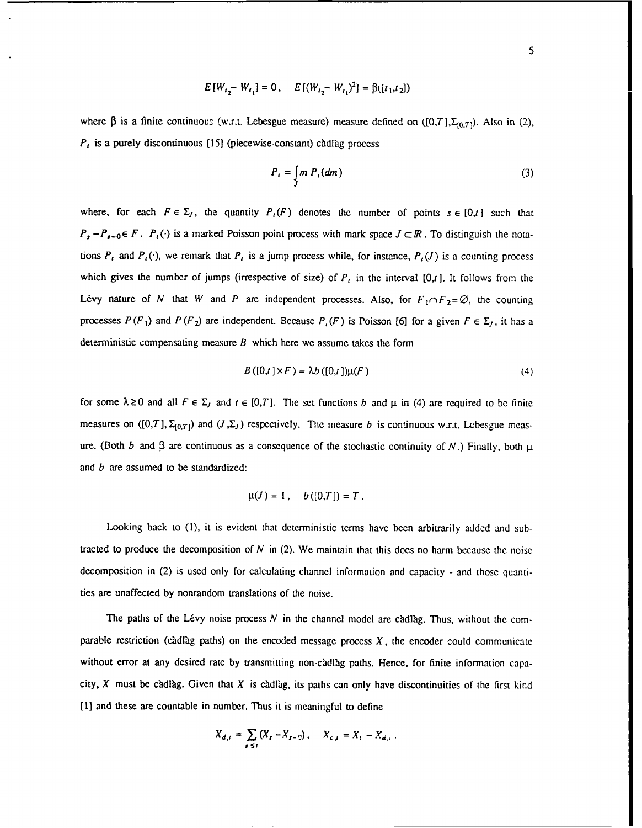$$
E[W_{t_2} - W_{t_1}] = 0, \quad E[(W_{t_2} - W_{t_1})^2] = \beta([t_1, t_2])
$$

where  $\beta$  is a finite continuous (w.r.t. Lebesgue measure) measure defined on  $([0,T],\Sigma_{[0,T]})$ . Also in (2), *P<sub>t</sub>* is a purely discontinuous [15] (piecewise-constant) càdlàg process

$$
P_t = \int_J m P_t(dm) \tag{3}
$$

where, for each  $F \in \Sigma_J$ , the quantity  $P_i(F)$  denotes the number of points  $s \in [0, t]$  such that  $P_s - P_{s-0} \in F$ .  $P_t(\cdot)$  is a marked Poisson point process with mark space  $J \subset \mathbb{R}$ . To distinguish the notations  $P_t$  and  $P_t(\cdot)$ , we remark that  $P_t$  is a jump process while, for instance,  $P_t(J)$  is a counting process which gives the number of jumps (irrespective of size) of  $P_t$  in the interval [0,t]. It follows from the Lévy nature of *N* that *W* and *P* are independent processes. Also, for  $F_1 \cap F_2 = \emptyset$ , the counting processes  $P(F_1)$  and  $P(F_2)$  are independent. Because  $P_i(F)$  is Poisson [6] for a given  $F \in \Sigma_I$ , it has a deterministic compensating measure *B* which here we assume takes the form

$$
B([0,t] \times F) = \lambda b([0,t]) \mu(F)
$$
\n<sup>(4)</sup>

for some  $\lambda \ge 0$  and all  $F \in \Sigma$ , and  $t \in [0,T]$ . The set functions *b* and  $\mu$  in (4) are required to be finite measures on  $([0,T], \Sigma_{[0,T]})$  and  $(J,\Sigma_J)$  respectively. The measure *b* is continuous w.r.t. Lebesgue measure. (Both *b* and  $\beta$  are continuous as a consequence of the stochastic continuity of *N*.) Finally, both  $\mu$ and *b* are assumed to be standardized:

$$
\mu(J)=1\,,\quad b\left( [0,T]\right) =T\,.
$$

Looking back to (1), it is evident that deterministic terms have been arbitrarily added and subtracted to produce the decomposition of  $N$  in (2). We maintain that this does no harm because the noise decomposition in (2) is used only for calculating channel information and capacity - and those quantities are unaffected by nonrandom translations of the noise.

The paths of the Lévy noise process  $N$  in the channel model are cadlag. Thus, without the comparable restriction **(cdlag** paths) on the encoded message process X, the encoder could communicate without error at any desired rate by transmitting non-càdlàg paths. Hence, for finite information capacity, X must be cadlag. Given that X is cadlag, its paths can only have discontinuities of the first kind [1] and these are countable in number. Thus it is meaningful to define

$$
X_{d,i} = \sum_{s \leq t} (X_s - X_{s-2}), \quad X_{c,i} = X_t - X_{d,i}.
$$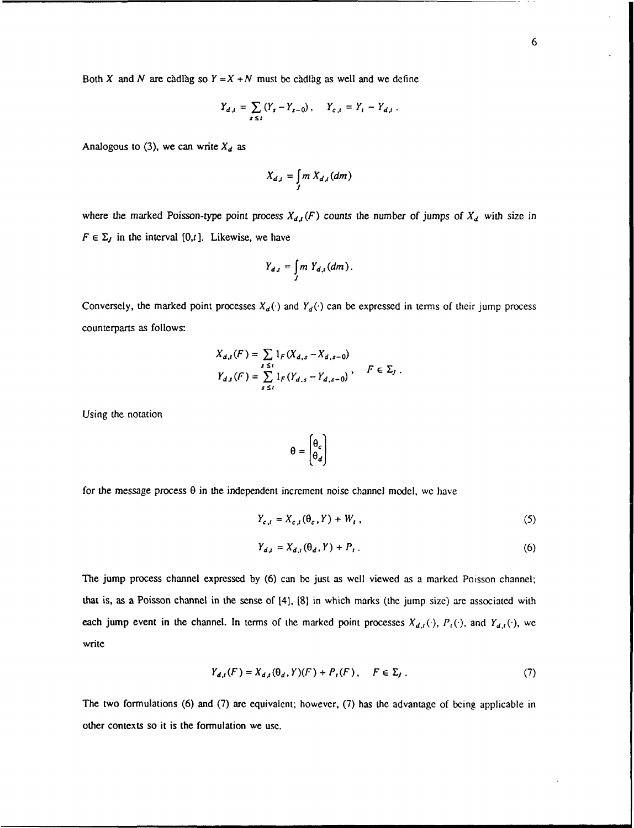Both X and N are cadlag so  $Y = X + N$  must be cadlag as well and we define

$$
Y_{d,t} = \sum_{s \le t} (Y_s - Y_{s-0}), \quad Y_{c,t} = Y_t - Y_{d,t}.
$$

Analogous to (3), we can write  $X_d$  as

$$
X_{d,i}=\int\limits_{J}m\,X_{d,i}(dm)
$$

where the marked Poisson-type point process  $X_{d,t}(F)$  counts the number of jumps of  $X_d$  with size in  $F \in \Sigma_J$  in the interval [0,t]. Likewise, we have

$$
Y_{d,t}=\int\limits_{J}m\;Y_{d,t}(dm).
$$

Conversely, the marked point processes  $X_d(\cdot)$  and  $Y_d(\cdot)$  can be expressed in terms of their jump process counterparts as follows:

$$
X_{d,t}(F) = \sum_{s \le t} 1_F(X_{d,s} - X_{d,s-0})
$$
  
\n
$$
Y_{d,t}(F) = \sum_{s \le t} 1_F(Y_{d,s} - Y_{d,s-0}), \quad F \in \Sigma_J.
$$

Using the notation

$$
\theta = \begin{bmatrix} \theta_c \\ \theta_d \end{bmatrix}
$$

for the message process  $\theta$  in the independent increment noise channel model, we have

$$
Y_{c,t} = X_{c,t}(\theta_c, Y) + W_t, \qquad (5)
$$

$$
Y_{d,t} = X_{d,t}(\theta_d, Y) + P_t \tag{6}
$$

The jump process channel expressed by (6) can be just as well viewed as a marked Poisson channel; that is, as a Poisson channel in the sense of [4], [8] in which marks (the jump size) are associated with each jump event in the channel. In terms of the marked point processes  $X_{d,t}(\cdot)$ ,  $P_t(\cdot)$ , and  $Y_{d,t}(\cdot)$ , we write

$$
Y_{d,t}(F) = X_{d,t}(\theta_d, Y)(F) + P_t(F), \quad F \in \Sigma_J. \tag{7}
$$

The two formulations (6) and (7) are equivalent; however, (7) has the advantage of being applicable in other contexts so it is the formulation we use.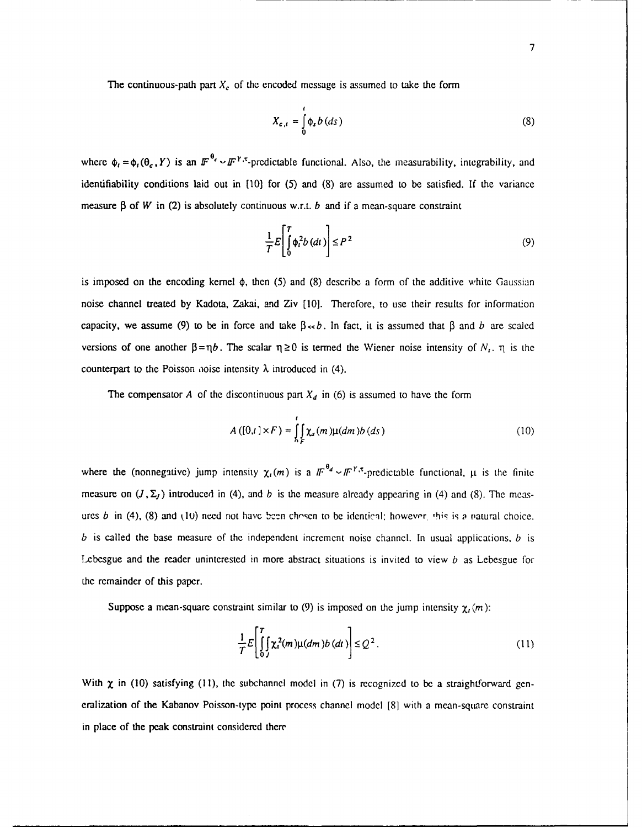The continuous-path part  $X_c$  of the encoded message is assumed to take the form

$$
X_{c,t} = \int_{0}^{t} \phi_s b(ds)
$$
 (8)

where  $\phi_t = \phi_t(\theta_{\epsilon}, Y)$  is an  $\mathbb{F}^{\theta_{\epsilon}} \sim \mathbb{F}^{\gamma_{\epsilon}}$ -predictable functional. Also, the measurability, integrability, and identifiability conditions laid out in [10] for (5) and (8) are assumed to be satisfied. If the variance measure  $\beta$  of *W* in (2) is absolutely continuous w.r.t. *b* and if a mean-square constraint

$$
\frac{1}{T}E\left[\int_{0}^{T} \phi_{i}^{2} b\left(dt\right)\right] \le P^{2}
$$
\n(9)

is imposed on the encoding kernel **4),** then (5) and (8) describe a form of the additive white Gaussian noise channel treated by Kadota, Zakai, and Ziv [10]. Therefore, to use their results for information capacity, we assume (9) to be in force and take  $\beta \ll b$ . In fact, it is assumed that  $\beta$  and *b* are scaled versions of one another  $\beta = \eta b$ . The scalar  $\eta \ge 0$  is termed the Wiener noise intensity of  $N_t$ .  $\eta$  is the counterpart to the Poisson noise intensity  $\lambda$  introduced in (4).

The compensator *A* of the discontinuous part  $X_d$  in (6) is assumed to have the form

$$
A\left([0,t]\times F\right) = \int\limits_{\Lambda}^{t} \int\limits_{F} \chi_{s}(m)\mu(dm)b\left(ds\right) \tag{10}
$$

where the (nonnegative) jump intensity  $\chi_i(m)$  is a  $\pi^{0} \sim \pi^{Y,x}$ -predictable functional,  $\mu$  is the finite measure on  $(J, \Sigma_J)$  introduced in (4), and *b* is the measure already appearing in (4) and (8). The measures *b* in (4), (8) and (10) need not have been chosen to be identical; however, this is a natural choice. *b* is called the base measure of the independent increment noise channel. In usual applications, *b* is Lebesgue and the reader uninterested in more abstract situations is invited to view *b* as Lebesgue for the remainder of this paper.

Suppose a mean-square constraint similar to (9) is imposed on the jump intensity  $\chi_t(m)$ :

$$
\frac{1}{T}E\left[\int_{0}^{T}\left[\chi_{i}^{2}(m)\mu(dm)b\left(dt\right)\right]\leq Q^{2}.
$$
\n(11)

With  $\chi$  in (10) satisfying (11), the subchannel model in (7) is recognized to be a straightforward generalization of the Kabanov Poisson-type point process channel model [8] with a mean-square constraint in place of the peak constraint considered there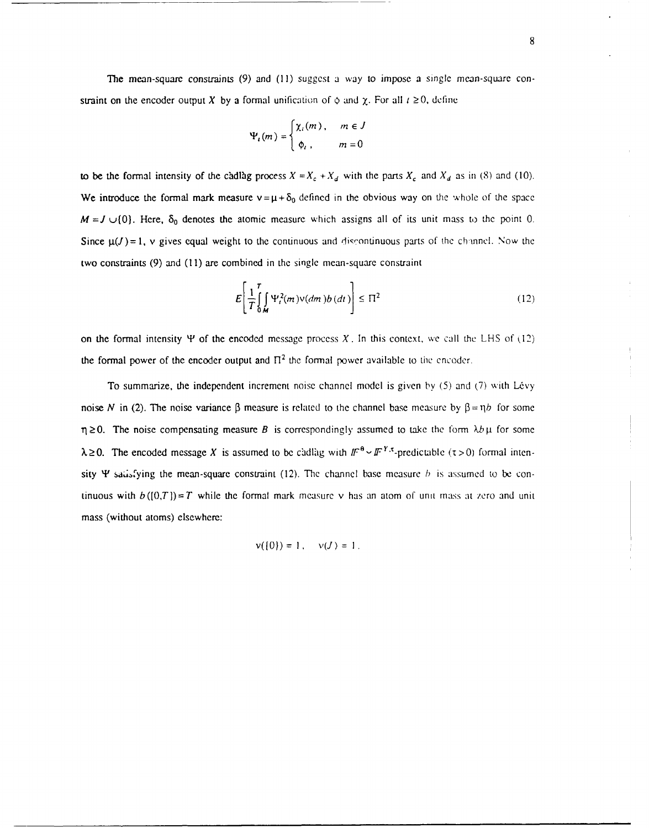The mean-square constraints (9) and (11) suggest a way to impose a single mean-square constraint on the encoder output X by a formal unification of  $\phi$  and  $\chi$ . For all  $t \ge 0$ , define

$$
\Psi_t(m) = \begin{cases} \chi_t(m), & m \in J \\ \phi_t, & m = 0 \end{cases}
$$

to be the formal intensity of the cadlag process  $X = X_c + X_d$  with the parts  $X_c$  and  $X_d$  as in (8) and (10). We introduce the formal mark measure  $v=\mu+\delta_0$  defined in the obvious way on the whole of the space  $M = J \cup \{0\}$ . Here,  $\delta_0$  denotes the atomic measure which assigns all of its unit mass to the point 0. Since  $\mu(J) = 1$ , v gives equal weight to the continuous and discontinuous parts of the channel. Now the two constraints (9) and (11) are combined in the single mean-square constraint

$$
E\left[\frac{1}{T}\int_{\mathbf{0,M}}^{T} \Psi_t^2(m)\nu(dm)b(dt)\right] \leq \Pi^2
$$
 (12)

on the formal intensity  $\Psi$  of the encoded message process X. In this context, we call the LHS of (12) the formal power of the encoder output and  $\Pi^2$  the formal power available to time encoder.

To summarize, the independent increment noise channel model is given by  $(5)$  and  $(7)$  with Lévy noise *N* in (2). The noise variance  $\beta$  measure is related to the channel base measure by  $\beta = \eta b$  for some  $\eta \ge 0$ . The noise compensating measure *B* is correspondingly assumed to take the form  $\lambda b \mu$  for some  $\lambda \geq 0$ . The encoded message *X* is assumed to be cadlag with  $\pi^{0} \sim \pi^{Y,\tau}$ -predictable ( $\tau > 0$ ) formal intensity  $\Psi$  sadsfying the mean-square constraint (12). The channel base measure *b* is assumed to be continuous with  $b([0,T])=T$  while the formal mark measure v has an atom of unit mass at zero and unit mass (without atoms) elsewhere:

$$
\mathsf{v}(\{0\})=1\,,\quad \mathsf{v}(J)=1\,.
$$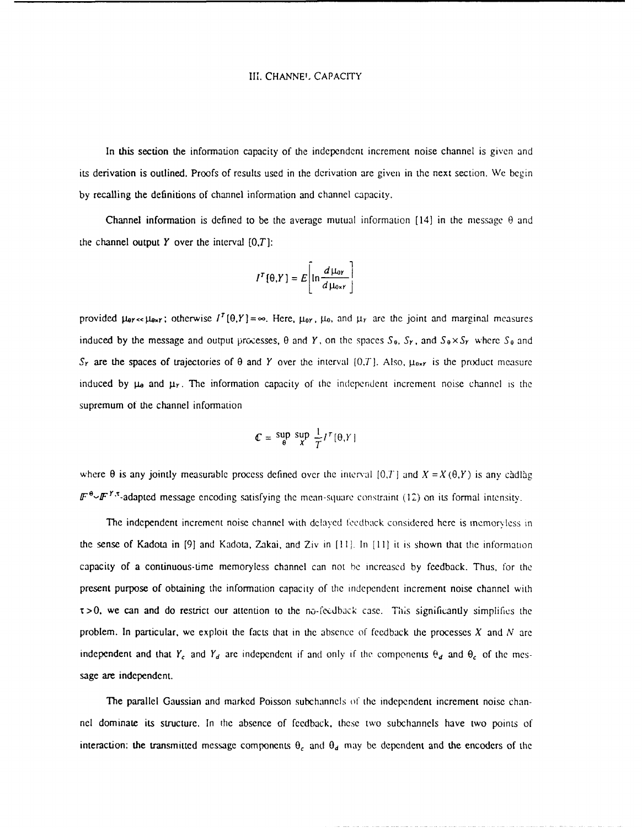# III. CHANNEL CAPACITY

In this section the information capacity of the independent increment noise channel is givcn and its derivation is outlined. Proofs of results used in the derivation are given in the next section. We begin by recalling the definitions of channel information and channel capacity.

Channel information is defined to be the average mutual information  $[14]$  in the message  $\theta$  and the channel output  $Y$  over the interval  $[0,T]$ :

$$
I^{T}[\theta,Y] = E\left[\ln\frac{d\mu_{\text{or}}}{d\mu_{\text{ox}r}}\right]
$$

provided  $\mu_{\text{or}}$  =  $\mu_{\text{or}}$ ; otherwise  $I^T(\theta, Y) = \infty$ . Here,  $\mu_{\text{or}}$ ,  $\mu_{\text{o}}$ , and  $\mu_Y$  are the joint and marginal measures induced by the message and output processes,  $\theta$  and  $\gamma$ , on the spaces  $S_0$ ,  $S_r$ , and  $S_0 \times S_r$  where  $S_0$  and  $S_r$  are the spaces of trajectories of  $\theta$  and *Y* over the interval  $[0,T]$ . Also,  $\mu_{0x}$  is the product measure induced by  $\mu_{\theta}$  and  $\mu_{\theta}$ . The information capacity of the independent increment noise channel is the supremum ot the channel information

$$
\mathcal{C} = \sup_{\theta} \sup_{X} \frac{1}{T} I^{\tau}[\theta, Y]
$$

where  $\theta$  is any jointly measurable process defined over the interval [0,T] and  $X = X(\theta, Y)$  is any cadlag  $\mathbb{F}^{\theta} \sim \mathbb{F}^{\gamma}$ .<sup>\*</sup>-adapted message encoding satisfying the mean-square constraint (12) on its formal intensity.

The independent increment noise channel with delayed feedback considered here is memoryless in the sense of Kadota in **[91** and Kadota, Zakai, and Ziv in [11 . In **[II]** it is shown that the information capacity of a continuous-time memoryless channel can not **be** increased by feedback. Thus, for the present purpose of obtaining the information capacity of the independent increment noise channel with  $\tau$  >0, we can and do restrict our attention to the no-feedback case. This significantly simplifies the problem. In particular, we exploit the facts that in the absence of feedback the processes X and *N* are independent and that  $Y_c$  and  $Y_d$  are independent if and only if the components  $\theta_d$  and  $\theta_c$  of the message are independent.

The parallel Gaussian and marked Poisson subchannels of the independent increment noise channel dominate its structure. In the absence of feedback, these two subchannels have two points of interaction: the transmitted message components  $\theta_c$  and  $\theta_d$  may be dependent and the encoders of the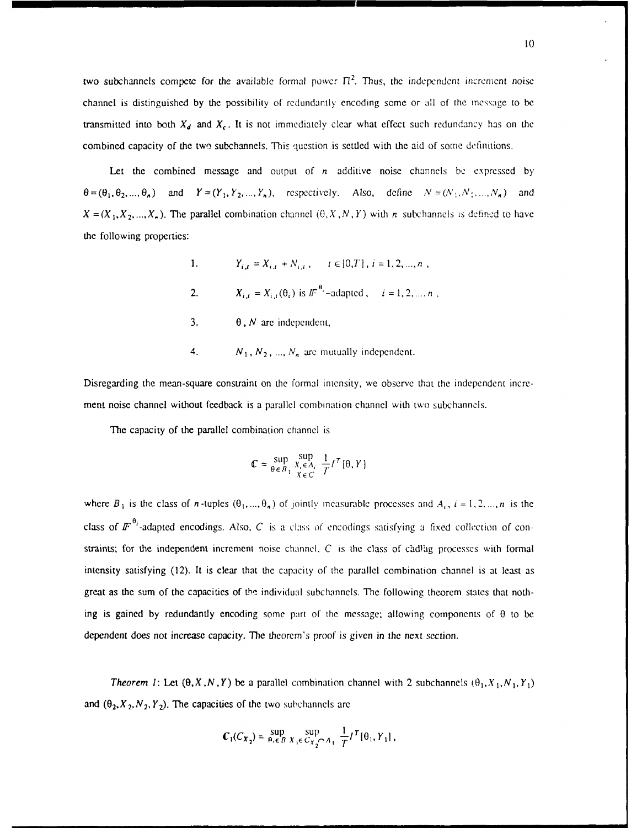two subchannels compete for the available formal power  $\Pi^2$ . Thus, the independent increment noise channel is distinguished by the possibility of redundantly encoding some or all of the message to be transmitted into both  $X_d$  and  $X_c$ . It is not immediately clear what effect such redundancy has on the combined capacity of the **two** subchannels. This question is settled with the aid of some definitions.

Let the combined message and output of *n* additive noise channels be expressed by  $\theta = (\theta_1, \theta_2, ..., \theta_n)$  and  $Y = (Y_1, Y_2, ..., Y_n)$ , respectively. Also, define  $N = (N_1, N_2, ..., N_n)$  and  $X = (X_1, X_2, ..., X_n)$ . The parallel combination channel  $(0, X, N, Y)$  with *n* subchannels is defined to have the following properties:

> 1.  $Y_{i,t} = X_{i,t} + N_{i,t}$ ,  $t \in [0,T]$ ,  $i = 1,2,...,n$ , 2.  $X_{i,i} = X_{i,i}(\theta_i)$  is  $I\!\!F^{i\theta_i}$ -adapted,  $i = 1, 2, ..., n$ , 3.  $\theta$ , *N* are independent,

4. 
$$
N_1, N_2, ..., N_n
$$
 are mutually independent.

Disregarding the mean-square constraint on the formal intensity, we observe that the independent increment noise channel without feedback is a parallel combination channel with two subchannols.

The capacity of the parallel combination channel is

$$
\mathbb{C} \approx \sup_{\theta \in B_1} \sup_{\substack{X_i \in A_i \\ X \in C}} \frac{1}{T} I^T[\theta, Y]
$$

where  $B_1$  is the class of *n*-tuples  $(\theta_1, ..., \theta_n)$  of jointly measurable processes and  $A_i$ ,  $i = 1, 2, ..., n$  is the class of  $\mathbf{F}^{\theta_i}$ -adapted encodings. Also, C is a class of encodings satisfying a fixed collection of constraints; for the independent increment noise channel.  $C$  is the class of càdlag processes with formal intensity satisfying (12). It is clear that the capacity of the parallel combination channel is at least as great as the sum of the capacities of **th'** individual subchannels. The following theorem states that nothing is gained by redundantly encoding some part of the message; allowing components of  $\theta$  to be dependent does not increase capacity. The theorem's proof is given in the next section.

*Theorem 1:* Let  $(\theta, X, N, Y)$  be a parallel combination channel with 2 subchannels  $(\theta_1, X_1, N_1, Y_1)$ and  $(\theta_2, X_2, N_2, Y_2)$ . The capacities of the two subchannels are

$$
\mathbf{C}_1(C_{X_2}) = \sup_{\theta_i \in B} \sup_{X_i \in C_{X_2} \cap A_1} \frac{1}{T} I^T[\theta_1, Y_1],
$$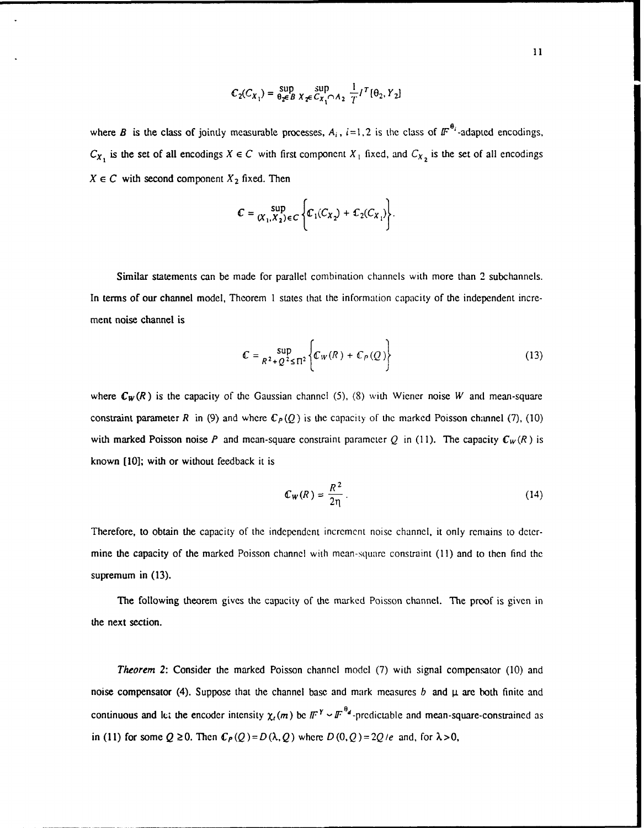$$
C_2(C_{X_1}) = \sup_{\theta_2 \in B} \sup_{X \neq C_{X_1} \cap A_2} \frac{1}{T} I^T[\theta_2, Y_2]
$$

where *B* is the class of jointly measurable processes,  $A_i$ ,  $i=1,2$  is the class of  $IF^{\theta_i}$ -adapted encodings,  $C_{X_1}$  is the set of all encodings  $X \in C$  with first component  $X_1$  fixed, and  $C_{X_2}$  is the set of all encodings  $X \in C$  with second component  $X_2$  fixed. Then

$$
\mathbb{C} = \sup_{(X_1, X_2) \in C} \left\{ \mathbb{C}_1(C_{X_2}) + \mathbb{C}_2(C_{X_1}) \right\}.
$$

Similar statements can be made for parallel combination channels with more than 2 subchannels. In terms of our channel model, Theorem **I** states that the information capacity of the independent increment noise channel is

$$
\mathcal{C} = \sup_{R^2 + Q^2 \leq \Pi^2} \left\{ \mathcal{C}_W(R) + \mathcal{C}_P(Q) \right\}
$$
 (13)

where  $C_W(R)$  is the capacity of the Gaussian channel (5), (8) with Wiener noise *W* and mean-square constraint parameter *R* in (9) and where  $\mathbb{C}_P(Q)$  is the capacity of the marked Poisson channel (7), (10) with marked Poisson noise P and mean-square constraint parameter Q in (11). The capacity  $\mathbb{C}_W(R)$  is known **[10];** with or without feedback it is

$$
\mathbb{C}_W(R) = \frac{R^2}{2\eta} \,. \tag{14}
$$

Therefore, to obtain the capacity of the independent increment noise channel, it only remains to determine the capacity of the marked Poisson channel with mean-square constraint (11) and to then find the supremum in **(13).**

The following theorem gives the capacity of the marked Poisson channel. The proof is given in the next section.

*Theorem 2:* Consider the marked Poisson channel model (7) with signal compensator (10) and noise compensator (4). Suppose that the channel base and mark measures  $b$  and  $\mu$  are both finite and continuous and let the encoder intensity  $\chi_t(m)$  be  $\mathbb{F}^Y \sim \mathbb{F}^{\theta_d}$ -predictable and mean-square-constrained as in (11) for some  $Q \ge 0$ . Then  $C_P(Q) = D(\lambda, Q)$  where  $D(0, Q) = 2Q/e$  and, for  $\lambda > 0$ ,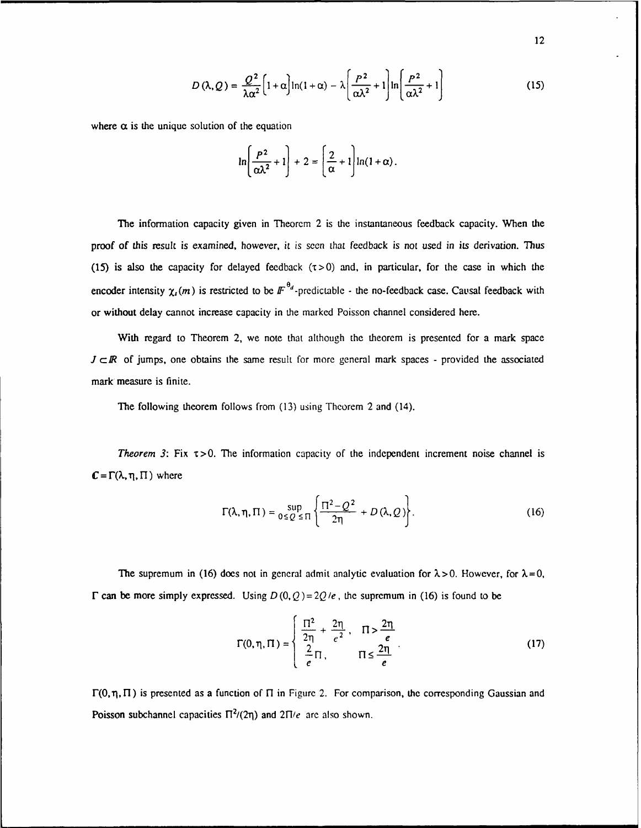$$
D(\lambda, Q) = \frac{Q^2}{\lambda \alpha^2} \left[ 1 + \alpha \right] \ln(1 + \alpha) - \lambda \left[ \frac{P^2}{\alpha \lambda^2} + 1 \right] \ln \left[ \frac{P^2}{\alpha \lambda^2} + 1 \right] \tag{15}
$$

where  $\alpha$  is the unique solution of the equation

$$
\ln\left(\frac{P^2}{\alpha\lambda^2}+1\right)+2=\left(\frac{2}{\alpha}+1\right)\ln(1+\alpha).
$$

*The* information capacity given in Theorem 2 is the instantaneous feedback capacity. When the proof of this result is examined, however, it is seen that feedback is not used in its derivation. Thus (15) is also the capacity for delayed feedback  $(\tau > 0)$  and, in particular, for the case in which the encoder intensity  $\chi_l(m)$  is restricted to be  $F^{\theta_d}$ -predictable - the no-feedback case. Causal feedback with or without delay cannot increase capacity in the marked Poisson channel considered here.

With regard to Theorem 2, we note that although the theorem is presented for a mark space  $J \subset \mathbb{R}$  of jumps, one obtains the same result for more general mark spaces - provided the associated mark measure is finite.

The following theorem follows from (13) using Theorem 2 and (14).

*Theorem 3:* Fix  $\tau > 0$ . The information capacity of the independent increment noise channel is  $C = \Gamma(\lambda, \eta, \Pi)$  where

$$
\Gamma(\lambda, \eta, \Pi) = \sup_{0 \le Q \le \Pi} \left\{ \frac{\Pi^2 - Q^2}{2\eta} + D(\lambda, Q) \right\}.
$$
 (16)

The supremum in (16) does not in general admit analytic evaluation for  $\lambda > 0$ . However, for  $\lambda = 0$ ,  $\Gamma$  can be more simply expressed. Using  $D(0, Q) = 2Q/e$ , the supremum in (16) is found to be

$$
\Gamma(0, \eta, \Pi) = \begin{cases} \frac{\Pi^2}{2\eta} + \frac{2\eta}{e^2}, & \Pi > \frac{2\eta}{e} \\ \frac{2}{e}\Pi, & \Pi \le \frac{2\eta}{e} \end{cases} .
$$
 (17)

 $\Gamma(0, \eta, \Pi)$  is presented as a function of  $\Pi$  in Figure 2. For comparison, the corresponding Gaussian and Poisson subchannel capacities  $\Pi^2/(2\eta)$  and  $2\Pi/e$  are also shown.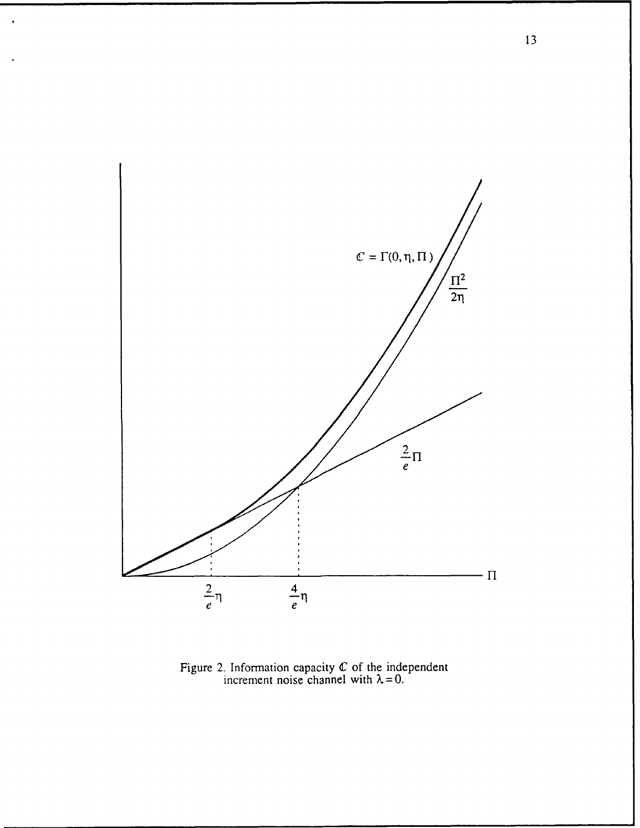

Figure 2. Information capacity  $C$  of the independen increment noise channel with  $\lambda = 0$ .

13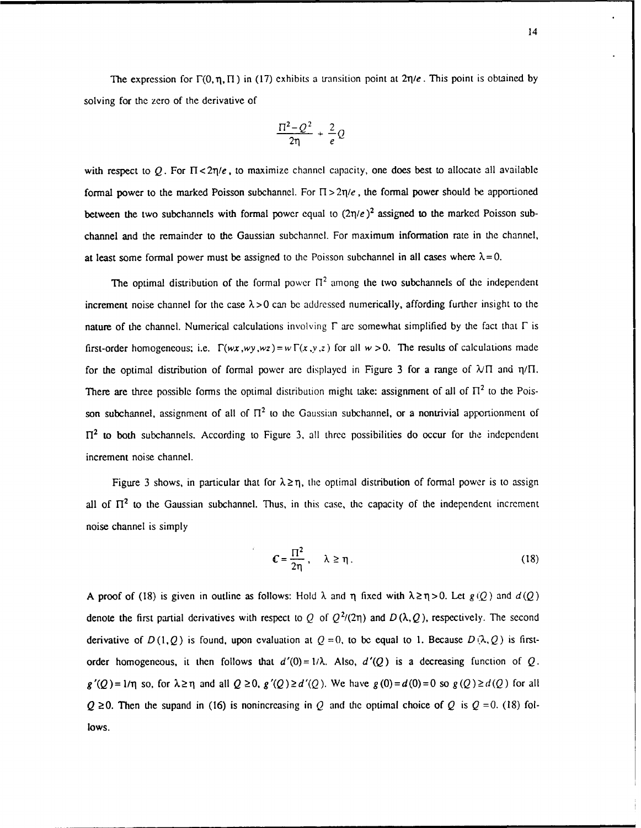The expression for  $\Gamma(0,\eta,\Pi)$  in (17) exhibits a transition point at  $2\eta/e$ . This point is obtained by solving for the zero of the derivative of

$$
\frac{\Pi^2-Q^2}{2\eta}+\frac{2}{e}Q
$$

with respect to O. For  $\Pi < 2\pi/e$ , to maximize channel capacity, one does best to allocate all available formal power to the marked Poisson subchannel. For  $\Pi > 2\eta/e$ , the formal power should be apportioned between the two subchannels with formal power equal to  $(2\eta/e)^2$  assigned to the marked Poisson subchannel and the remainder to the Gaussian subchannel. For maximum information rate in the channel, at least some formal power must be assigned to the Poisson subchannel in all cases where  $\lambda = 0$ .

The optimal distribution of the formal power  $\Pi^2$  among the two subchannels of the independent increment noise channel for the case  $\lambda > 0$  can be addressed numerically, affording further insight to the nature of the channel. Numerical calculations involving  $\Gamma$  are somewhat simplified by the fact that  $\Gamma$  is first-order homogeneous; i.e.  $\Gamma(wx,wy, wz) = w\Gamma(x,y,z)$  for all  $w > 0$ . The results of calculations made for the optimal distribution of formal power are displayed in Figure 3 for a range of  $\lambda/\Pi$  and  $\eta/\Pi$ . There are three possible forms the optimal distribution might take: assignment of all of  $\Pi^2$  to the Poisson subchannel, assignment of all of  $\Pi^2$  to the Gaussian subchannel, or a nontrivial apportionment of  $\Pi^2$  to both subchannels. According to Figure 3, all three possibilities do occur for the independent increment noise channel.

Figure 3 shows, in particular that for  $\lambda \ge \eta$ , the optimal distribution of formal power is to assign all of  $\Pi^2$  to the Gaussian subchannel. Thus, in this case, the capacity of the independent increment noise channel is simply

$$
\mathbf{C} = \frac{\Pi^2}{2\eta}, \quad \lambda \ge \eta. \tag{18}
$$

A proof of (18) is given in outline as follows: Hold  $\lambda$  and  $\eta$  fixed with  $\lambda \ge \eta > 0$ . Let  $g(Q)$  and  $d(Q)$ denote the first partial derivatives with respect to Q of  $Q^2/(2n)$  and  $D(\lambda, Q)$ , respectively. The second derivative of  $D(1, Q)$  is found, upon evaluation at  $Q = 0$ , to be equal to 1. Because  $D(\lambda, Q)$  is firstorder homogeneous, it then follows that  $d'(0) = 1/\lambda$ . Also,  $d'(Q)$  is a decreasing function of Q.  $g'(Q) = 1/\eta$  so, for  $\lambda \ge \eta$  and all  $Q \ge 0$ ,  $g'(Q) \ge d'(Q)$ . We have  $g(0) = d(0) = 0$  so  $g(Q) \ge d(Q)$  for all  $Q \ge 0$ . Then the supand in (16) is nonincreasing in Q and the optimal choice of Q is  $Q = 0$ . (18) follows.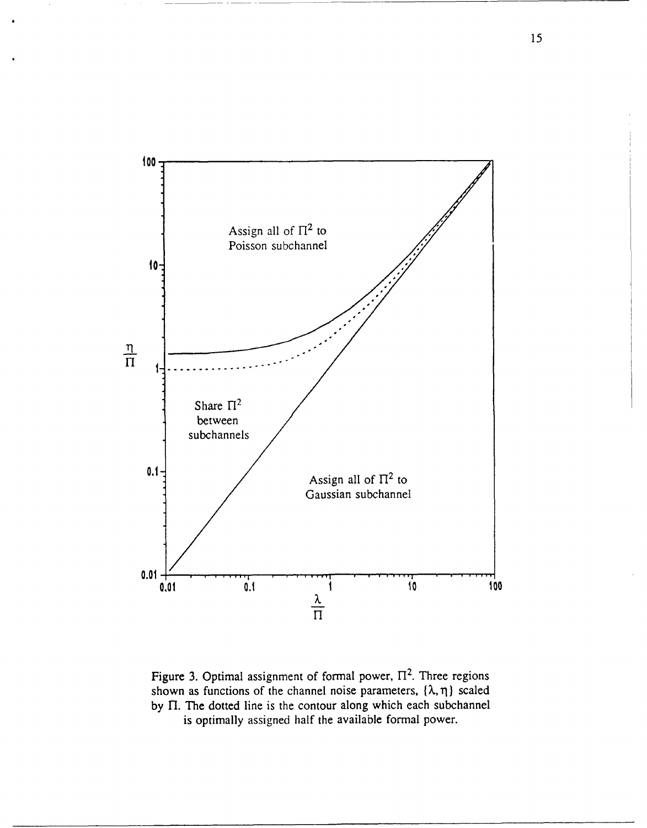

Figure 3. Optimal assignment of formal power,  $\Pi^2$ . Three regions shown as functions of the channel noise parameters,  $\{\lambda, \eta\}$  scaled by  $\Pi$ . The dotted line is the contour along which each subchannel is optimally assigned half the available formal power.

15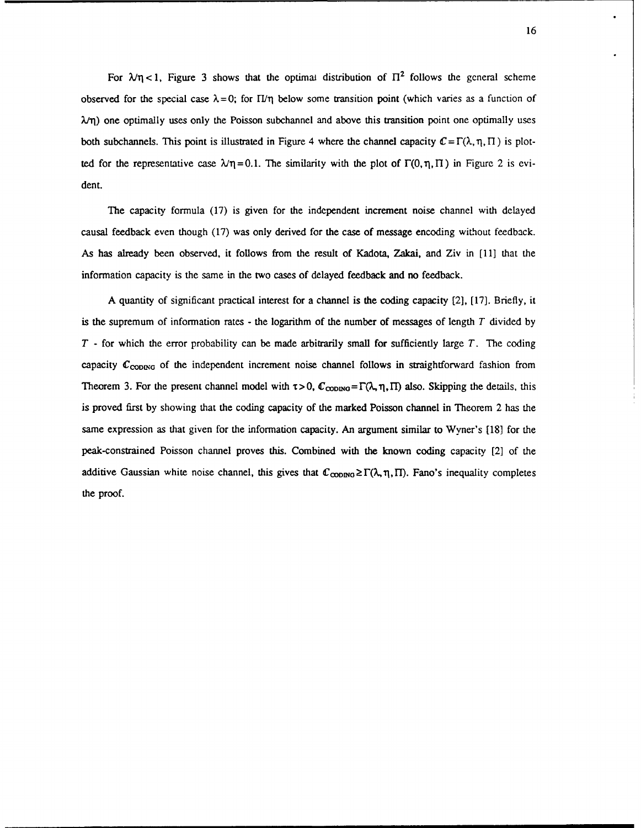For  $\lambda/\eta$  < 1, Figure 3 shows that the optimal distribution of  $\Pi^2$  follows the general scheme observed for the special case  $\lambda = 0$ ; for  $\Pi/\eta$  below some transition point (which varies as a function of  $\lambda$  $\eta$ ) one optimally uses only the Poisson subchannel and above this transition point one optimally uses both subchannels. This point is illustrated in Figure 4 where the channel capacity  $C = \Gamma(\lambda, \eta, \Pi)$  is plotted for the representative case  $\lambda \eta = 0.1$ . The similarity with the plot of  $\Gamma(0, \eta, \Pi)$  in Figure 2 is evident.

The capacity formula (17) is given for the independent increment noise channel with delayed causal feedback even though (17) was only derived for the case of message encoding without feedback. As has already been observed, it follows from the result of Kadota, Zakai, and Ziv in [11] that the information capacity is the same in the two cases of delayed feedback and no feedback.

A quantity of significant practical interest for a channel is the coding capacity [2], [17]. Briefly, it is the supremum of information rates - the logarithm of the number of messages of length *T* divided by *T* - for which the error probability can be made arbitrarily small for sufficiently large *T.* The coding capacity C<sub>CODING</sub> of the independent increment noise channel follows in straightforward fashion from Theorem 3. For the present channel model with  $\tau > 0$ ,  $\mathbb{C}_{\text{CDDING}} = \Gamma(\lambda, \eta, \Pi)$  also. Skipping the details, this is proved first by showing that the coding capacity of the marked Poisson channel in Theorem 2 has the same expression as that given for the information capacity. An argument similar to Wyner's [18] for the peak-constrained Poisson channel proves this. Combined with the known coding capacity [2] of the additive Gaussian white noise channel, this gives that  $\mathcal{C}_{\text{CDDNG}} \geq \Gamma(\lambda, \eta, \Pi)$ . Fano's inequality completes the proof.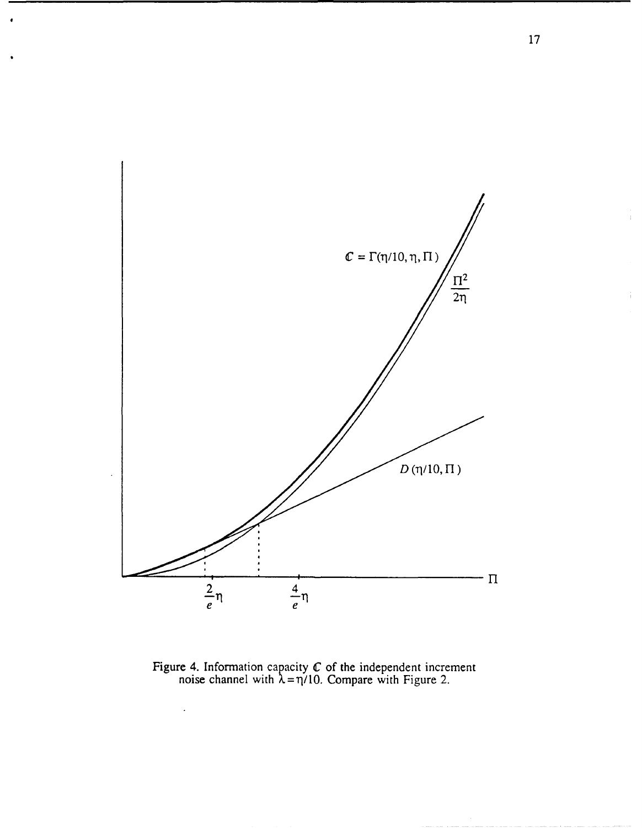

Figure 4. Information capacity  $C$  of the independent increment noise channel with  $\lambda = \eta/10$ . Compare with Figure 2.

 $\ddot{\phantom{0}}$ 

÷.

 $\frac{1}{4}$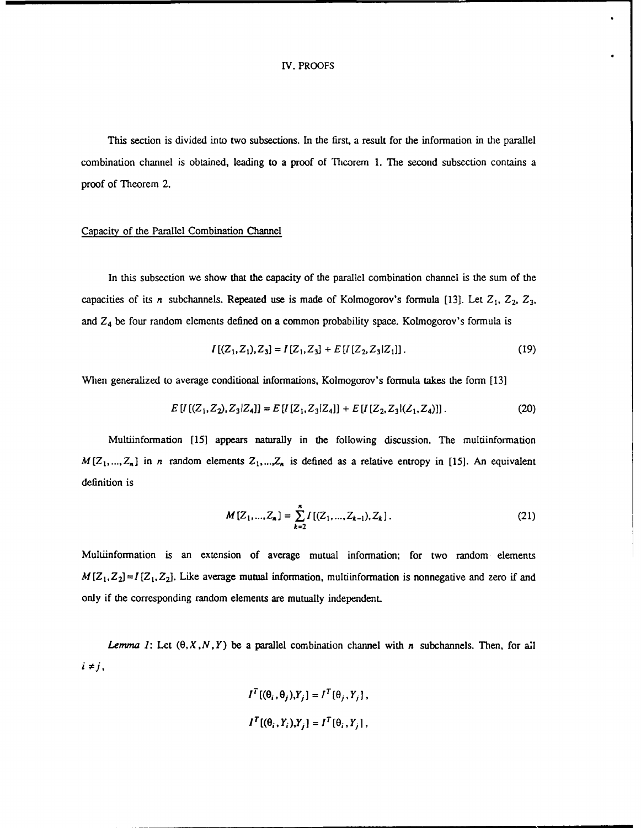### IV. PROOFS

This section is divided into two subsections. In the first, a result for the information in the parallel combination channel is obtained, leading to a proof of Theorem 1. The second subsection contains a proof of Theorem 2.

## Capacity of the Parallel Combination Channel

In this subsection we show that the capacity of the parallel combination channel is the sum of the capacities of its *n* subchannels. Repeated use is made of Kolmogorov's formula [13]. Let  $Z_1$ ,  $Z_2$ ,  $Z_3$ , and *Z4* be four random elements defined on a common probability space. Kolmogorov's formula is

$$
I[(Z_1, Z_1), Z_3] = I[Z_1, Z_3] + E[I[Z_2, Z_3|Z_1]].
$$
\n(19)

When generalized to average conditional informations, Kolmogorov's formula takes the form [13]

$$
E[I[(Z_1, Z_2), Z_3|Z_4]] = E[I[Z_1, Z_3|Z_4]] + E[I[Z_2, Z_3](Z_1, Z_4)]]
$$
 (20)

Multiinformation [15] appears naturally in the following discussion. The multiinformation  $M[Z_1, ..., Z_n]$  in *n* random elements  $Z_1, ..., Z_n$  is defined as a relative entropy in [15]. An equivalent definition is

$$
M[Z_1, ..., Z_n] = \sum_{k=2}^{n} I[(Z_1, ..., Z_{k-1}), Z_k].
$$
 (21)

Multinformation is an extension of average mutual information; for two random elements  $M(Z_1, Z_2) = I[Z_1, Z_2]$ . Like average mutual information, multiinformation is nonnegative and zero if and only if the corresponding random elements are mutually independent.

*Lemma 1:* Let  $(\theta, X, N, Y)$  be a parallel combination channel with *n* subchannels. Then, for all  $i \neq j$ ,

$$
I^{T}[(\theta_{i}, \theta_{j}), Y_{j}] = I^{T}[\theta_{j}, Y_{j}],
$$
  

$$
I^{T}[(\theta_{i}, Y_{i}), Y_{j}] = I^{T}[\theta_{i}, Y_{j}],
$$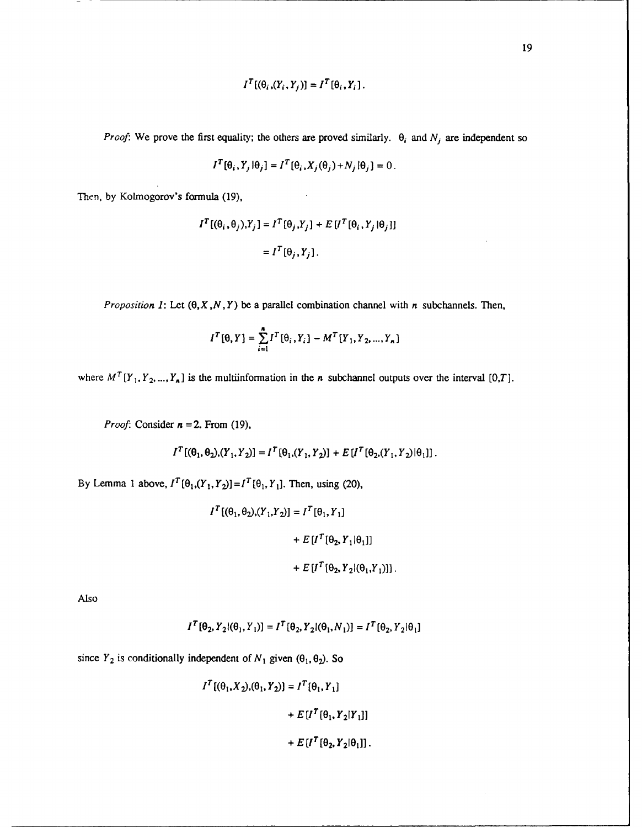$$
I^{T}[(\theta_i,(Y_i,Y_j)]=I^{T}[\theta_i,Y_i].
$$

*Proof:* We prove the first equality; the others are proved similarly.  $\theta_i$  and  $N_j$  are independent so

$$
I^{T}[\theta_{i}, Y_{j}|\theta_{j}] = I^{T}[\theta_{i}, X_{j}(\theta_{j}) + N_{j}|\theta_{j}] = 0.
$$

Then, by Kolmogorov's formula (19),

$$
I^{T}[(\theta_{i}, \theta_{j}), Y_{j}] = I^{T}[\theta_{j}, Y_{j}] + E[I^{T}[\theta_{i}, Y_{j} | \theta_{j}]]
$$
  
=  $I^{T}[\theta_{j}, Y_{j}].$ 

*Proposition 1:* Let *(O,X,N, Y)* be a parallel combination channel with *n* subchannels. Then,

$$
I^{T}[\theta, Y] = \sum_{i=1}^{n} I^{T}[\theta_{i}, Y_{i}] - M^{T}[Y_{1}, Y_{2}, ..., Y_{n}]
$$

where  $M^{T}[Y_1, Y_2, ..., Y_n]$  is the multiinformation in the *n* subchannel outputs over the interval [0,T].

*Proof.* Consider *n* =2. From (19),

$$
I^{T}[(\theta_{1}, \theta_{2}), (Y_{1}, Y_{2})] = I^{T}[\theta_{1}, (Y_{1}, Y_{2})] + E[I^{T}[\theta_{2}, (Y_{1}, Y_{2}) | \theta_{1}]]
$$

By Lemma 1 above,  $I^T[\theta_1, (Y_1, Y_2)] = I^T[\theta_1, Y_1]$ . Then, using (20),

$$
I^{T}[(\theta_{1}, \theta_{2}), (Y_{1}, Y_{2})] = I^{T}[\theta_{1}, Y_{1}]
$$
  
+  $E[I^{T}[\theta_{2}, Y_{1}|\theta_{1}]]$   
+  $E[I^{T}[\theta_{2}, Y_{2}](\theta_{1}, Y_{1})]]$ .

Also

$$
I^{T}[\theta_2, Y_2 | (\theta_1, Y_1)] = I^{T}[\theta_2, Y_2 | (\theta_1, N_1)] = I^{T}[\theta_2, Y_2 | \theta_1]
$$

since  $Y_2$  is conditionally independent of  $N_1$  given  $(\theta_1, \theta_2)$ . So

$$
I^{T}[(\theta_{1}, X_{2}), (\theta_{1}, Y_{2})] = I^{T}[\theta_{1}, Y_{1}]
$$
  
+ 
$$
E[I^{T}[\theta_{1}, Y_{2}|Y_{1}]]
$$
  
+ 
$$
E[I^{T}[\theta_{2}, Y_{2}|\theta_{1}]].
$$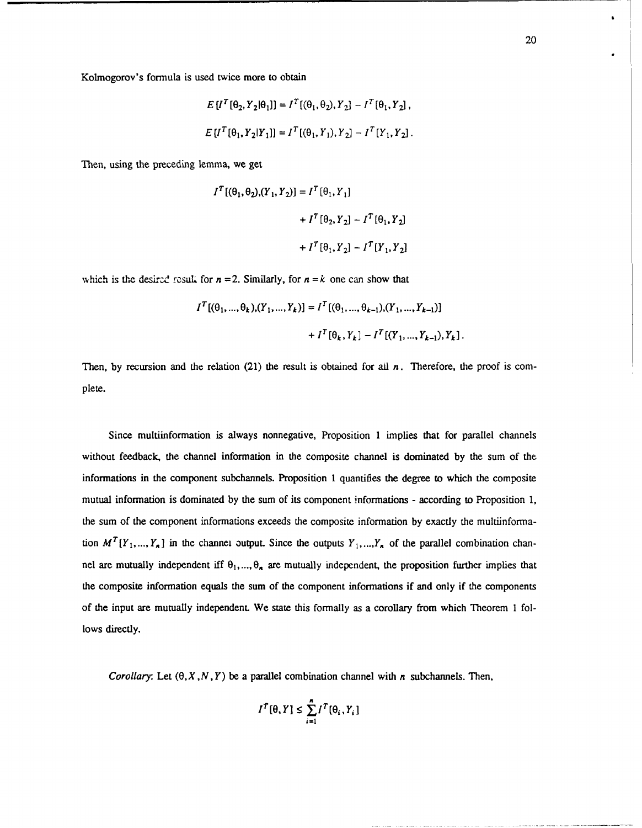$$
E[I^{T}[\theta_{2}, Y_{2}|\theta_{1}]] = I^{T}[(\theta_{1}, \theta_{2}), Y_{2}] - I^{T}[\theta_{1}, Y_{2}],
$$
  

$$
E[I^{T}[\theta_{1}, Y_{2}|Y_{1}]] = I^{T}[(\theta_{1}, Y_{1}), Y_{2}] - I^{T}[Y_{1}, Y_{2}].
$$

Then, using the preceding lemma, we get

$$
I^{T}[(\theta_{1}, \theta_{2}), (Y_{1}, Y_{2})] = I^{T}[\theta_{1}, Y_{1}]
$$
  
+ 
$$
I^{T}[\theta_{2}, Y_{2}] - I^{T}[\theta_{1}, Y_{2}]
$$
  
+ 
$$
I^{T}[\theta_{1}, Y_{2}] - I^{T}[Y_{1}, Y_{2}]
$$

which is the desired result for  $n = 2$ . Similarly, for  $n = k$  one can show that

$$
I^{T}[(\theta_{1}, ..., \theta_{k}), (Y_{1}, ..., Y_{k})] = I^{T}[(\theta_{1}, ..., \theta_{k-1}), (Y_{1}, ..., Y_{k-1})]
$$

$$
+ I^{T}[\theta_{k}, Y_{k}] - I^{T}[(Y_{1}, ..., Y_{k-1}), Y_{k}]
$$

Then, by recursion and the relation (21) the result is obtained for all *n*. Therefore, the proof is complete.

Since multiinformation is always nonnegative, Proposition 1 implies that for parallel channels without feedback, the channel information in the composite channel is dominated by the sum of the informations in the component subchannels. Proposition 1 quantifies the degree to which the composite mutual information is dominated by the sum of its component informations - according to Proposition 1, the sum of the component informations exceeds the composite information by exactly the multiinformation  $M^{T}[Y_1, ..., Y_n]$  in the channel output. Since the outputs  $Y_1, ..., Y_n$  of the parallel combination channel are mutually independent iff  $\theta_1, ..., \theta_n$  are mutually independent, the proposition further implies that the composite information equals the sum of the component informations if and only if the components of the input are mutually independent. We state this formally as a corollary from which Theorem 1 follows directly.

Corollary: Let  $(\theta, X, N, Y)$  be a parallel combination channel with *n* subchannels. Then,

$$
I^T[\theta, Y] \leq \sum_{i=1}^n I^T[\theta_i, Y_i]
$$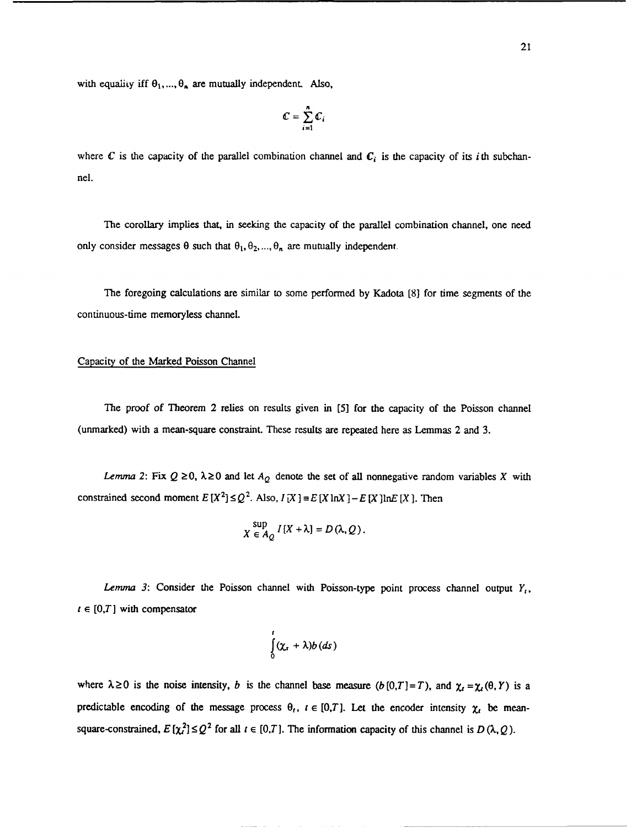$$
\mathbb{C}=\sum_{i=1}^n\mathbb{C}_i
$$

where  $C$  is the capacity of the parallel combination channel and  $C_i$  is the capacity of its *i*th subchannel.

**The** corollary implies that, in seeking the capacity of the parallel combination channel, one need only consider messages  $\theta$  such that  $\theta_1, \theta_2, ..., \theta_n$  are mutually independent.

The foregoing calculations are similar to some performed **by** Kadota **[8]** for time segments of the continuous-time memoryless channel.

# Capacity of the Marked Poisson Channel

The proof *of* Theorem 2 relies on results given in [5] for the capacity of the Poisson channel (unmarked) with a mean-square constraint. These results are repeated here as Lemmas 2 and 3.

*Lemma* 2: Fix  $Q \ge 0$ ,  $\lambda \ge 0$  and let  $A_Q$  denote the set of all nonnegative random variables X with constrained second moment  $E[X^2] \le Q^2$ . Also,  $I[X] = E[X \ln X] - E[X] \ln E[X]$ . Then

$$
X \in A_Q I[X + \lambda] = D(\lambda, Q)
$$

*Lemma 3:* Consider the Poisson channel with Poisson-type point process channel output  $Y_t$ ,  $t \in [0, T]$  with compensator

$$
\int_{0}^{1} (\chi_{s} + \lambda) b(ds)
$$

where  $\lambda \ge 0$  is the noise intensity, *b* is the channel base measure  $(b[0,T]=T)$ , and  $\chi_t = \chi_t(\theta, Y)$  is a predictable encoding of the message process  $\theta_t$ ,  $t \in [0,T]$ . Let the encoder intensity  $\chi_t$  be meansquare-constrained,  $E[\chi^2] \leq Q^2$  for all  $t \in [0,T]$ . The information capacity of this channel is  $D(\lambda, Q)$ .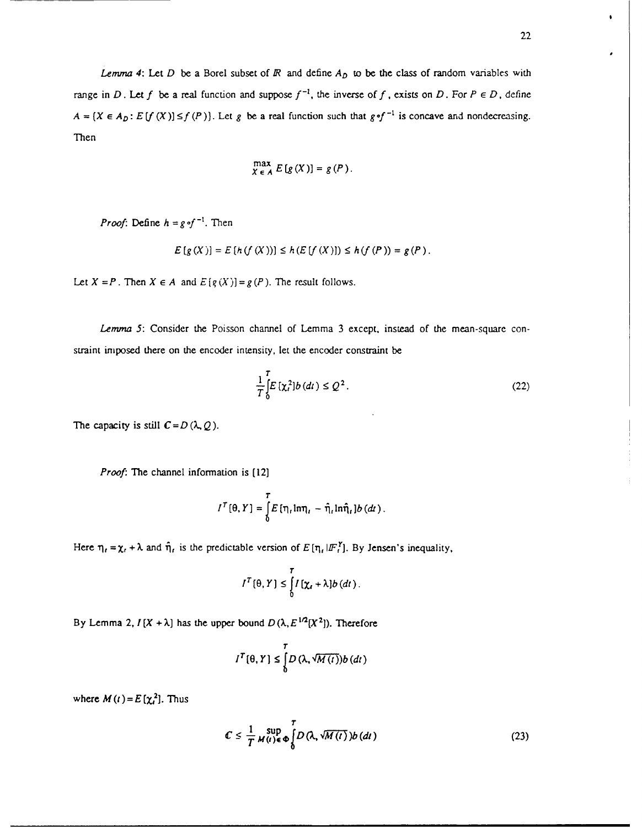*Lemma 4:* Let *D* be a Borel subset of  $\overline{R}$  and define  $A_D$  to be the class of random variables with range in *D*. Let *f* be a real function and suppose  $f^{-1}$ , the inverse of *f*, exists on *D*. For  $P \in D$ , define  $A = \{X \in A_D : E[f(X)] \le f(P)\}\$ . Let g be a real function such that  $g \circ f^{-1}$  is concave and nondecreasing. Then

$$
\max_{X \in A} E[g(X)] = g(P).
$$

*Proof:* Define  $h = g \circ f^{-1}$ . Then

$$
E[g(X)] = E[h(f(X))] \le h(E[f(X)]) \le h(f(P)) = g(P).
$$

Let  $X = P$ . Then  $X \in A$  and  $E[g(X)] = g(P)$ . The result follows.

*Lemma 5:* Consider the Poisson channel of Lemma 3 except, instead of the mean-square constraint imposed there on the encoder intensity, let the encoder constraint be

$$
\frac{1}{T} \int_{0}^{T} E\left[\chi_{t}^{2}\right] b\left(dt\right) \leq Q^{2}. \tag{22}
$$

The capacity is still  $C = D(\lambda, Q)$ .

*Proof:* The channel information is [12]

$$
I^{T}(\theta, Y) = \int_{0}^{T} E[\eta_t \ln \eta_t - \hat{\eta}_t \ln \hat{\eta}_t] b(dx).
$$

Here  $\eta_i = \chi_i + \lambda$  and  $\hat{\eta}_i$  is the predictable version of  $E[\eta_i | I F_i^Y]$ . By Jensen's inequality,

$$
I^T[\theta, Y] \leq \int_0^T I[\chi_t + \lambda] b(dt).
$$

By Lemma 2,  $I(X + \lambda)$  has the upper bound  $D(\lambda, E^{1/2}[X^2])$ . Therefore

$$
I^T[\theta,Y] \leq \int\limits_0^T D\left(\lambda,\sqrt{M\left(t\right)}\right)b\left(dt\right)
$$

where  $M(t) = E[\chi_t^2]$ . Thus

$$
C \leq \frac{1}{T} \sup_{M(t) \in \Phi} \int_{0}^{T} D(\lambda, \sqrt{M(t)}) b(dt)
$$
 (23)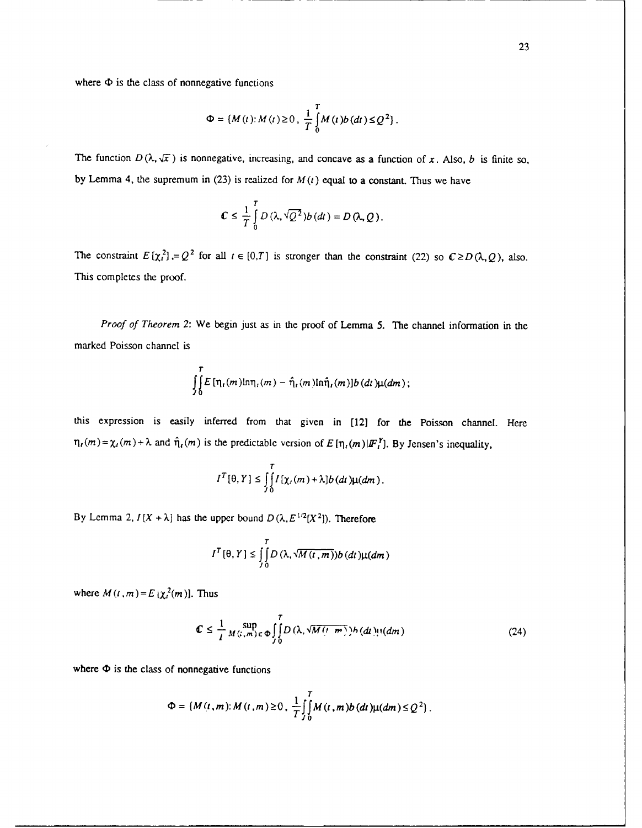where  $\Phi$  is the class of nonnegative functions

$$
\Phi = \{M(t): M(t) \ge 0, \frac{1}{T} \int_{0}^{T} M(t) b(dt) \le Q^2\}.
$$

The function  $D(\lambda, \sqrt{x})$  is nonnegative, increasing, and concave as a function of *x*. Also, *b* is finite so, by Lemma 4, the supremum in (23) is realized for  $M(t)$  equal to a constant. Thus we have

$$
C\leq \frac{1}{T}\int\limits_0^T D\left(\lambda,\sqrt{Q^2}\right)b\left(dt\right)=D\left(\lambda,Q\right).
$$

The constraint  $E[\chi^2] = Q^2$  for all  $t \in [0,T]$  is stronger than the constraint (22) so  $C \ge D(\lambda, Q)$ , also. This completes the proof.

*Proof of Theorem 2:* We begin just as in the proof of Lemma 5. The channel information in the marked Poisson channel is

$$
\int\limits_{J\,0}^{T} E\left[\eta_t(m) \text{ln}\eta_t(m) - \hat{\eta}_t(m) \text{ln}\hat{\eta}_t(m)\right] b\left(dt\right) \mu(dm);
$$

this expression is easily inferred from that given in [12] for the Poisson channel. Here  $\eta_t(m) = \chi_t(m) + \lambda$  and  $\hat{\eta}_t(m)$  is the predictable version of  $E[\eta_t(m)|F_t]^T$ . By Jensen's inequality,

$$
I^T[\theta,Y] \leq \int\limits_{J_0}^T I[\chi_t(m) + \lambda]b(dt)\mu(dm).
$$

By Lemma 2,  $I[X + \lambda]$  has the upper bound  $D(\lambda, E^{1/2}[X^2])$ . Therefore

$$
I^T[\theta,Y] \leq \int\limits_{t_0}^T D\left(\lambda,\sqrt{M(t,m)}\right) b\left(dt\right) \mu(dm)
$$

where  $M(t, m) = E[\chi_t^2(m)]$ . Thus

$$
\mathbb{C} \le \frac{1}{I} M_{(i,m)\in\Phi} \iint\limits_{J_0}^{T} D(\lambda, \sqrt{M(i,m)}) h(\lambda) \mu(dm) \tag{24}
$$

where  $\Phi$  is the class of nonnegative functions

$$
\Phi = \{M(t,m): M(t,m) \geq 0, \frac{1}{T} \int_{0}^{T} M(t,m) b(dt) \mu(dm) \leq Q^2 \}.
$$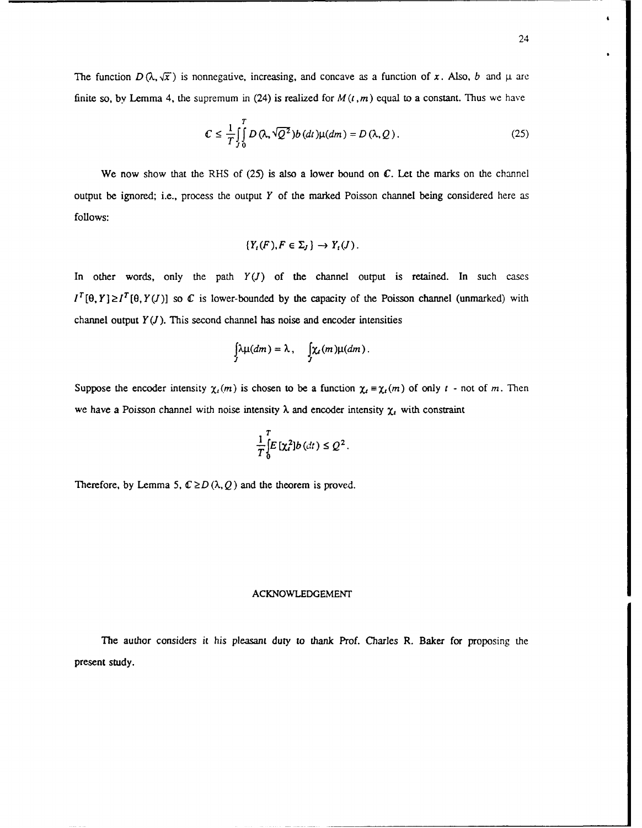The function  $D(\lambda, \sqrt{x})$  is nonnegative, increasing, and concave as a function of x. Also, *b* and  $\mu$  are finite so, by Lemma 4, the supremum in (24) is realized for  $M(t, m)$  equal to a constant. Thus we have

$$
\mathcal{C} \leq \frac{1}{T} \int_{0}^{T} D(\lambda, \sqrt{Q^2}) b(dt) \mu(dm) = D(\lambda, Q). \tag{25}
$$

We now show that the RHS of  $(25)$  is also a lower bound on C. Let the marks on the channel output be ignored; i.e., process the output *Y* of the marked Poisson channel being considered here as follows:

$$
\{Y_t(F), F \in \Sigma_J\} \to Y_t(J).
$$

In other words, only the path  $Y(J)$  of the channel output is retained. In such cases  $I^T[\theta, Y] \ge I^T[\theta, Y(J)]$  so C is lower-bounded by the capacity of the Poisson channel (unmarked) with channel output  $Y(J)$ . This second channel has noise and encoder intensities

$$
\int_{J} \lambda \mu(dm) = \lambda, \quad \int_{J} \chi_{t}(m) \mu(dm).
$$

Suppose the encoder intensity  $\chi_t(m)$  is chosen to be a function  $\chi_t = \chi_t(m)$  of only  $t$  - not of *m*. Then we have a Poisson channel with noise intensity  $\lambda$  and encoder intensity  $\chi$ , with constraint

$$
\frac{1}{T}\int_{0}^{T}E\left[\chi_{t}^{2}\right]b\left(dt\right)\leq Q^{2}.
$$

Therefore, by Lemma 5,  $C \ge D(\lambda, Q)$  and the theorem is proved.

### **ACKNOWLEDGEMENT**

The author considers it his pleasant duty to thank Prof. Charles R. Baker for proposing the present study.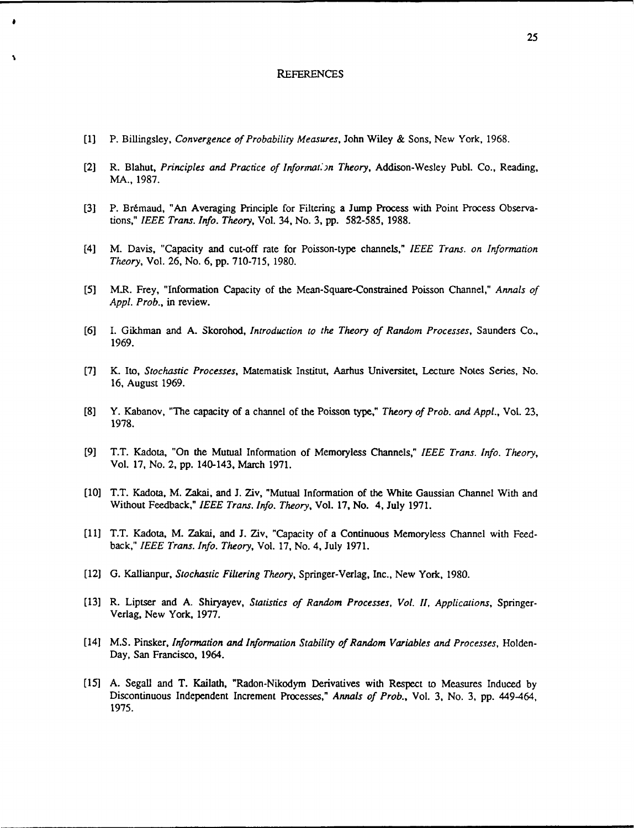#### REFERENCES

[1] P. Billingsley, *Convergence of Probability Measures,* John Wiley & Sons, New York, 1968.

 $\bullet$ 

- [2] R. Blahut, *Principles and Practice of Information Theory*, Addison-Wesley Publ. Co., Reading, MA., 1987.
- [3] P. Brémaud, "An Averaging Principle for Filtering a Jump Process with Point Process Observations," *IEEE Trans. Info. Theory,* Vol. 34, No. 3, **pp.** 582-585, 1988.
- [4] M. Davis, "Capacity and cut-off rate for Poisson-type channels," *IEEE Trans. on Information Theory,* Vol. 26, No. 6, pp. 710-715, 1980.
- *[5]* M.R. Frey, "Information Capacity of the Mean-Square-Constrained Poisson Channel," *Annals of Appl. Prob.,* in review.
- [6] I. Gikhman and A. Skorohod, *Introduction to the Theory of Random Processes,* Saunders Co., 1969.
- [7] K. Ito, *Stochastic Processes,* Matematisk Institut, Aarhus Universitet, Lecture Notes Series, No. 16, August 1969.
- [8] Y. Kabanov, "The capacity of a channel of the Poisson type," *Theory of Prob. and Appl.,* Vol. 23, 1978.
- [9] T.T. Kadota, "On the Mutual Information of Memoryless Channels," *IEEE Trans. Info. Theory,* Vol. 17, No. 2, pp. 140-143, March 1971.
- [10] T.T. Kadota, M. Zakai, and J. Ziv, "Mutual Information of the White Gaussian Channel With and Without Feedback," *IEEE Trans. Info. Theory,* Vol. 17, No. 4, July 1971.
- back," *IEEE Trans. Info. Theory,* Vol. 17, No. 4, July 1971.
- [12] G. Kallianpur, *Stochastic Filtering Theory,* Springer-Verlag, Inc., New York, 1980.
- [13] R. Liptser and A. Shiryayev, *Statistics of Random Processes, Vol. 1I, Applications,* Springer-Verlag, New York, 1977.
- [14] M.S. Pinsker, *Information and Information Stability of Random Variables and Processes,* Holden-Day, San Francisco, 1964.
- [15] A. Segall and T. Kailath, "Radon-Nikodym Derivatives with Respect to Measures Induced by Discontinuous Independent Increment Processes," *Annals of Prob.,* Vol. 3, No. 3, pp. 449-464, 1975.